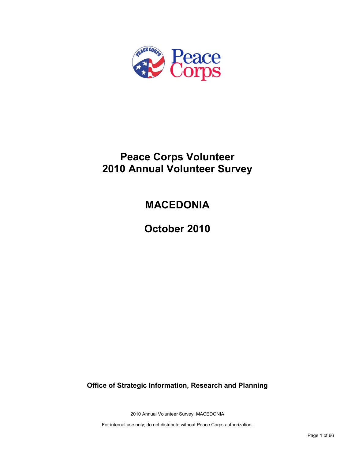

# **Peace Corps Volunteer 2010 Annual Volunteer Survey**

# **MACEDONIA**

**October 2010**

**Office of Strategic Information, Research and Planning**

2010 Annual Volunteer Survey: MACEDONIA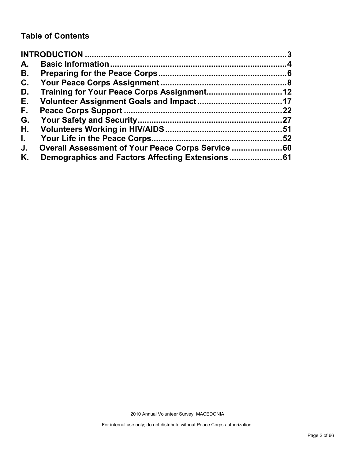### **Table of Contents**

| A.           |                                                    |    |
|--------------|----------------------------------------------------|----|
| В.           |                                                    |    |
| C.           |                                                    |    |
| D.           |                                                    |    |
| Е.           |                                                    |    |
| F.,          |                                                    | 22 |
| G.           |                                                    |    |
| Н.           |                                                    |    |
| $\mathbf{L}$ |                                                    |    |
| J.           | Overall Assessment of Your Peace Corps Service  60 |    |
| Κ.           |                                                    |    |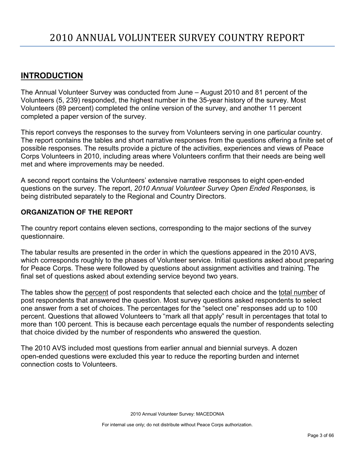### <span id="page-2-0"></span>**INTRODUCTION**

The Annual Volunteer Survey was conducted from June – August 2010 and 81 percent of the Volunteers (5, 239) responded, the highest number in the 35-year history of the survey. Most Volunteers (89 percent) completed the online version of the survey, and another 11 percent completed a paper version of the survey.

This report conveys the responses to the survey from Volunteers serving in one particular country. The report contains the tables and short narrative responses from the questions offering a finite set of possible responses. The results provide a picture of the activities, experiences and views of Peace Corps Volunteers in 2010, including areas where Volunteers confirm that their needs are being well met and where improvements may be needed.

A second report contains the Volunteers' extensive narrative responses to eight open-ended questions on the survey. The report, *2010 Annual Volunteer Survey Open Ended Responses,* is being distributed separately to the Regional and Country Directors.

### **ORGANIZATION OF THE REPORT**

The country report contains eleven sections, corresponding to the major sections of the survey questionnaire.

The tabular results are presented in the order in which the questions appeared in the 2010 AVS, which corresponds roughly to the phases of Volunteer service. Initial questions asked about preparing for Peace Corps. These were followed by questions about assignment activities and training. The final set of questions asked about extending service beyond two years.

The tables show the percent of post respondents that selected each choice and the total number of post respondents that answered the question. Most survey questions asked respondents to select one answer from a set of choices. The percentages for the "select one" responses add up to 100 percent. Questions that allowed Volunteers to "mark all that apply" result in percentages that total to more than 100 percent. This is because each percentage equals the number of respondents selecting that choice divided by the number of respondents who answered the question.

The 2010 AVS included most questions from earlier annual and biennial surveys. A dozen open-ended questions were excluded this year to reduce the reporting burden and internet connection costs to Volunteers.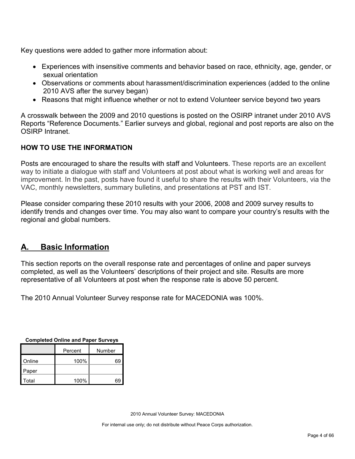Key questions were added to gather more information about:

- Experiences with insensitive comments and behavior based on race, ethnicity, age, gender, or sexual orientation
- Observations or comments about harassment/discrimination experiences (added to the online 2010 AVS after the survey began)
- Reasons that might influence whether or not to extend Volunteer service beyond two years

A crosswalk between the 2009 and 2010 questions is posted on the OSIRP intranet under 2010 AVS Reports "Reference Documents." Earlier surveys and global, regional and post reports are also on the OSIRP Intranet.

### **HOW TO USE THE INFORMATION**

Posts are encouraged to share the results with staff and Volunteers. These reports are an excellent way to initiate a dialogue with staff and Volunteers at post about what is working well and areas for improvement. In the past, posts have found it useful to share the results with their Volunteers, via the VAC, monthly newsletters, summary bulletins, and presentations at PST and IST.

Please consider comparing these 2010 results with your 2006, 2008 and 2009 survey results to identify trends and changes over time. You may also want to compare your country's results with the regional and global numbers.

### <span id="page-3-0"></span>**A. Basic Information**

This section reports on the overall response rate and percentages of online and paper surveys completed, as well as the Volunteers' descriptions of their project and site. Results are more representative of all Volunteers at post when the response rate is above 50 percent.

The 2010 Annual Volunteer Survey response rate for MACEDONIA was 100%.

| Completed Oming and Faper Surveys |        |    |  |  |
|-----------------------------------|--------|----|--|--|
|                                   | Number |    |  |  |
| Online                            | 100%   | 69 |  |  |
| Paper                             |        |    |  |  |
| Total                             | 100%   | 69 |  |  |

**Completed Online and Paper Surveys**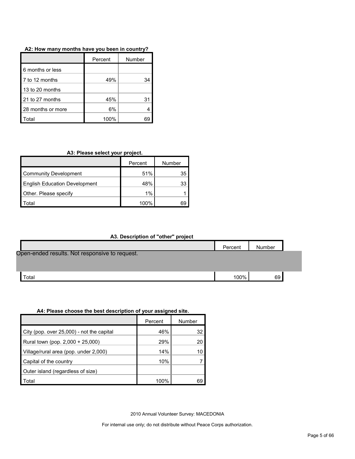| A2: How many months have you been in country? |  |
|-----------------------------------------------|--|
|-----------------------------------------------|--|

|                   | Percent | Number |
|-------------------|---------|--------|
| 6 months or less  |         |        |
| 7 to 12 months    | 49%     | 34     |
| 13 to 20 months   |         |        |
| 21 to 27 months   | 45%     | 31     |
| 28 months or more | 6%      |        |
| ʻotal             | 100%    |        |

### **A3: Please select your project.**

|                                      | Percent | Number |
|--------------------------------------|---------|--------|
| <b>Community Development</b>         | 51%     | 35     |
| <b>English Education Development</b> | 48%     | 33     |
| Other. Please specify                | 1%      |        |
| otal                                 | 100%    | 69     |

|  |  | A3. Description of "other" project |  |  |
|--|--|------------------------------------|--|--|
|--|--|------------------------------------|--|--|

|                                                | Percent | Number |  |
|------------------------------------------------|---------|--------|--|
| Open-ended results. Not responsive to request. |         |        |  |
|                                                |         |        |  |
| $\tau$ otal                                    | 100%    | 69     |  |

#### **A4: Please choose the best description of your assigned site.**

|                                           | Percent | Number |
|-------------------------------------------|---------|--------|
| City (pop. over 25,000) - not the capital | 46%     | 32     |
| Rural town (pop. 2,000 + 25,000)          | 29%     | 20     |
| Village/rural area (pop. under 2,000)     | 14%     | 10     |
| Capital of the country                    | 10%     |        |
| Outer island (regardless of size)         |         |        |
| Total                                     | 100%    | 69     |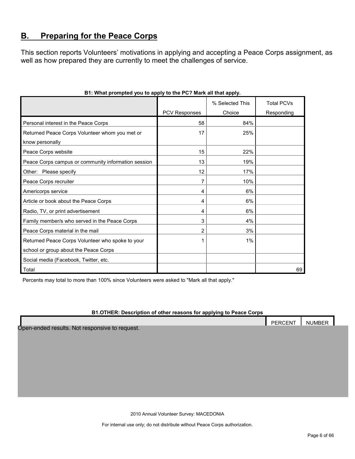### <span id="page-5-0"></span>**B. Preparing for the Peace Corps**

This section reports Volunteers' motivations in applying and accepting a Peace Corps assignment, as well as how prepared they are currently to meet the challenges of service.

|                                                     |                      | % Selected This | <b>Total PCVs</b> |
|-----------------------------------------------------|----------------------|-----------------|-------------------|
|                                                     | <b>PCV Responses</b> | Choice          | Responding        |
| Personal interest in the Peace Corps                | 58                   | 84%             |                   |
| Returned Peace Corps Volunteer whom you met or      | 17                   | 25%             |                   |
| know personally                                     |                      |                 |                   |
| Peace Corps website                                 | 15                   | 22%             |                   |
| Peace Corps campus or community information session | 13                   | 19%             |                   |
| Please specify<br>Other:                            | 12                   | 17%             |                   |
| Peace Corps recruiter                               | 7                    | 10%             |                   |
| Americorps service                                  | 4                    | 6%              |                   |
| Article or book about the Peace Corps               | 4                    | 6%              |                   |
| Radio, TV, or print advertisement                   | 4                    | 6%              |                   |
| Family member/s who served in the Peace Corps       | 3                    | 4%              |                   |
| Peace Corps material in the mail                    | 2                    | 3%              |                   |
| Returned Peace Corps Volunteer who spoke to your    | 1                    | 1%              |                   |
| school or group about the Peace Corps               |                      |                 |                   |
| Social media (Facebook, Twitter, etc.               |                      |                 |                   |
| Total                                               |                      |                 | 69                |

#### **B1: What prompted you to apply to the PC? Mark all that apply.**

Percents may total to more than 100% since Volunteers were asked to "Mark all that apply."

#### **B1.OTHER: Description of other reasons for applying to Peace Corps**

|                                               | <b>PERCENT</b> | <b>NUMBEF</b> |
|-----------------------------------------------|----------------|---------------|
| Open-ended results. Not responsive to request |                |               |

Open-ended results. Not responsive to request.

2010 Annual Volunteer Survey: MACEDONIA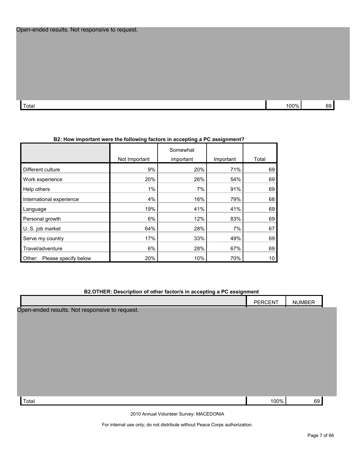$\Gamma$ otal 100% 69  $\,$ 

|               | mportant were the following factors in accepting a PC assignment? |           |       |
|---------------|-------------------------------------------------------------------|-----------|-------|
| Not Important | Somewhat<br>important                                             | Important | Total |
| 9%            | 20%                                                               | 71%       | 69    |
| 20%           | 26%                                                               | 54%       | 69    |
|               |                                                                   |           |       |

#### **B2: How i**

| Different culture              | 9%    | 20% | 71% | 69 |
|--------------------------------|-------|-----|-----|----|
| Work experience                | 20%   | 26% | 54% | 69 |
| Help others                    | $1\%$ | 7%  | 91% | 69 |
| International experience       | 4%    | 16% | 79% | 68 |
| Language                       | 19%   | 41% | 41% | 69 |
| Personal growth                | 6%    | 12% | 83% | 69 |
| U. S. job market               | 64%   | 28% | 7%  | 67 |
| Serve my country               | 17%   | 33% | 49% | 69 |
| Travel/adventure               | 6%    | 28% | 67% | 69 |
| Please specify below<br>Other: | 20%   | 10% | 70% | 10 |

#### **B2.OTHER: Description of other factor/s in accepting a PC assignment**

|                                                | PERCENT | <b>NUMBER</b> |  |
|------------------------------------------------|---------|---------------|--|
| Open-ended results. Not responsive to request. |         |               |  |
|                                                |         |               |  |
|                                                |         |               |  |
|                                                |         |               |  |
|                                                |         |               |  |
|                                                |         |               |  |
|                                                |         |               |  |
|                                                |         |               |  |
| Total                                          | 100%    | 69            |  |

2010 Annual Volunteer Survey: MACEDONIA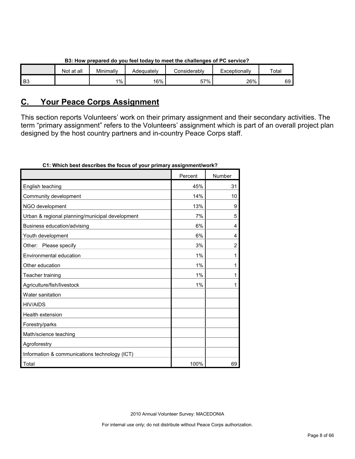|                | _ _<br>.   |           |            |                     |               |       |  |
|----------------|------------|-----------|------------|---------------------|---------------|-------|--|
|                | Not at all | Minimally | Adeauatelv | <b>Considerably</b> | Exceptionally | Total |  |
| B <sub>3</sub> |            | $1\%$     | 16%        | 57%                 | 26%           | 69    |  |

#### **B3: How prepared do you feel today to meet the challenges of PC service?**

### <span id="page-7-0"></span>**C. Your Peace Corps Assignment**

This section reports Volunteers' work on their primary assignment and their secondary activities. The term "primary assignment" refers to the Volunteers' assignment which is part of an overall project plan designed by the host country partners and in-country Peace Corps staff.

|                                                 | Percent | Number         |
|-------------------------------------------------|---------|----------------|
| English teaching                                | 45%     | 31             |
| Community development                           | 14%     | 10             |
| NGO development                                 | 13%     | 9              |
| Urban & regional planning/municipal development | 7%      | 5              |
| Business education/advising                     | 6%      | 4              |
| Youth development                               | 6%      | 4              |
| Other: Please specify                           | 3%      | $\overline{2}$ |
| Environmental education                         | 1%      | 1              |
| Other education                                 | 1%      | 1              |
| Teacher training                                | 1%      | 1              |
| Agriculture/fish/livestock                      | 1%      | 1              |
| Water sanitation                                |         |                |
| <b>HIV/AIDS</b>                                 |         |                |
| Health extension                                |         |                |
| Forestry/parks                                  |         |                |
| Math/science teaching                           |         |                |
| Agroforestry                                    |         |                |
| Information & communications technology (ICT)   |         |                |
| Total                                           | 100%    | 69             |

#### **C1: Which best describes the focus of your primary assignment/work?**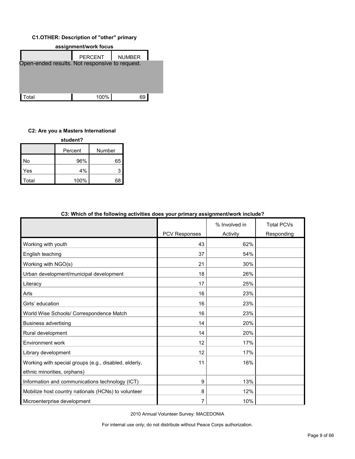#### **C1.OTHER: Description of "other" primary**



#### **C2: Are you a Masters International**

| student? |         |        |  |  |  |
|----------|---------|--------|--|--|--|
|          | Percent | Number |  |  |  |
| No       | 96%     | 65     |  |  |  |
| Yes      | 4%      | 3      |  |  |  |
| Total    | 100%    | 68     |  |  |  |

| oo. Timuli of the following activities does your primary assignmentwork include: |               |               |                   |
|----------------------------------------------------------------------------------|---------------|---------------|-------------------|
|                                                                                  |               | % Involved in | <b>Total PCVs</b> |
|                                                                                  | PCV Responses | Activity      | Responding        |
| Working with youth                                                               | 43            | 62%           |                   |
| English teaching                                                                 | 37            | 54%           |                   |
| Working with NGO(s)                                                              | 21            | 30%           |                   |
| Urban development/municipal development                                          | 18            | 26%           |                   |
| Literacy                                                                         | 17            | 25%           |                   |
| Arts                                                                             | 16            | 23%           |                   |
| Girls' education                                                                 | 16            | 23%           |                   |
| World Wise Schools/ Correspondence Match                                         | 16            | 23%           |                   |
| <b>Business advertising</b>                                                      | 14            | 20%           |                   |
| Rural development                                                                | 14            | 20%           |                   |
| Environment work                                                                 | 12            | 17%           |                   |
| Library development                                                              | 12            | 17%           |                   |
| Working with special groups (e.g., disabled, elderly,                            | 11            | 16%           |                   |
| ethnic minorities, orphans)                                                      |               |               |                   |
| Information and communications technology (ICT)                                  | 9             | 13%           |                   |
| Mobilize host country nationals (HCNs) to volunteer                              | 8             | 12%           |                   |
| Microenterprise development                                                      | 7             | 10%           |                   |

#### **C3: Which of the following activities does your primary assignment/work include?**

2010 Annual Volunteer Survey: MACEDONIA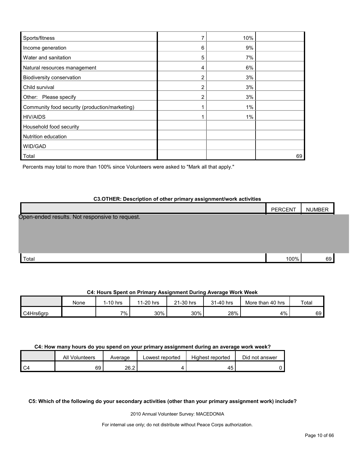| Sports/fitness                                 |                | 10%   |    |
|------------------------------------------------|----------------|-------|----|
| Income generation                              | 6              | 9%    |    |
| Water and sanitation                           | 5              | 7%    |    |
| Natural resources management                   | 4              | 6%    |    |
| Biodiversity conservation                      | $\overline{2}$ | 3%    |    |
| Child survival                                 | 2              | 3%    |    |
| Other: Please specify                          | 2              | 3%    |    |
| Community food security (production/marketing) |                | $1\%$ |    |
| <b>HIV/AIDS</b>                                |                | $1\%$ |    |
| Household food security                        |                |       |    |
| Nutrition education                            |                |       |    |
| WID/GAD                                        |                |       |    |
| Total                                          |                |       | 69 |

Percents may total to more than 100% since Volunteers were asked to "Mark all that apply."

#### **C3.OTHER: Description of other primary assignment/work activities**

|                                                | <b>PERCENT</b> | <b>NUMBER</b> |  |
|------------------------------------------------|----------------|---------------|--|
| Open-ended results. Not responsive to request. |                |               |  |
|                                                |                |               |  |
|                                                |                |               |  |
|                                                |                |               |  |
| Total                                          | 100%           | 69            |  |

#### **C4: Hours Spent on Primary Assignment During Average Work Week**

|           | None | $1-10$ hrs | 1-20 hrs<br>44 | $21-30$ hrs | 31-40 hrs | More than 40 hrs | Total |
|-----------|------|------------|----------------|-------------|-----------|------------------|-------|
| C4Hrs6grp |      | $7\%$      | 30%            | 30%         | 28%       | 4%               | 69    |

#### **C4: How many hours do you spend on your primary assignment during an average work week?**

|    | All Volunteers | Average | _owest reported | Highest reported | Did not answer |
|----|----------------|---------|-----------------|------------------|----------------|
| C4 | 69             | 26.2    |                 | --<br>. U        |                |

**C5: Which of the following do your secondary activities (other than your primary assignment work) include?**

2010 Annual Volunteer Survey: MACEDONIA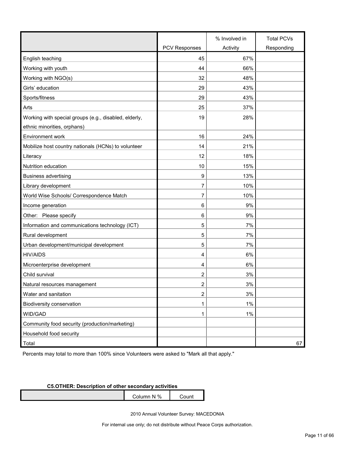|                                                       |                      | % Involved in | <b>Total PCVs</b> |
|-------------------------------------------------------|----------------------|---------------|-------------------|
|                                                       | <b>PCV Responses</b> | Activity      | Responding        |
| English teaching                                      | 45                   | 67%           |                   |
| Working with youth                                    | 44                   | 66%           |                   |
| Working with NGO(s)                                   | 32                   | 48%           |                   |
| Girls' education                                      | 29                   | 43%           |                   |
| Sports/fitness                                        | 29                   | 43%           |                   |
| Arts                                                  | 25                   | 37%           |                   |
| Working with special groups (e.g., disabled, elderly, | 19                   | 28%           |                   |
| ethnic minorities, orphans)                           |                      |               |                   |
| Environment work                                      | 16                   | 24%           |                   |
| Mobilize host country nationals (HCNs) to volunteer   | 14                   | 21%           |                   |
| Literacy                                              | 12                   | 18%           |                   |
| Nutrition education                                   | 10                   | 15%           |                   |
| <b>Business advertising</b>                           | 9                    | 13%           |                   |
| Library development                                   | 7                    | 10%           |                   |
| World Wise Schools/ Correspondence Match              | $\overline{7}$       | 10%           |                   |
| Income generation                                     | 6                    | 9%            |                   |
| Other: Please specify                                 | 6                    | 9%            |                   |
| Information and communications technology (ICT)       | 5                    | 7%            |                   |
| Rural development                                     | 5                    | 7%            |                   |
| Urban development/municipal development               | 5                    | 7%            |                   |
| <b>HIV/AIDS</b>                                       | 4                    | 6%            |                   |
| Microenterprise development                           | 4                    | 6%            |                   |
| Child survival                                        | 2                    | 3%            |                   |
| Natural resources management                          | 2                    | 3%            |                   |
| Water and sanitation                                  | $\overline{c}$       | $3%$          |                   |
| Biodiversity conservation                             | 1                    | 1%            |                   |
| WID/GAD                                               | 1                    | $1\%$         |                   |
| Community food security (production/marketing)        |                      |               |                   |
| Household food security                               |                      |               |                   |
| Total                                                 |                      |               | 67                |

Percents may total to more than 100% since Volunteers were asked to "Mark all that apply."

#### **C5.OTHER: Description of other secondary activities**

Column N % Count

2010 Annual Volunteer Survey: MACEDONIA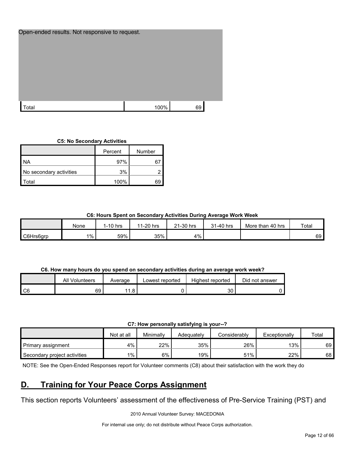| Open-ended results. Not responsive to request. |      |    |  |
|------------------------------------------------|------|----|--|
|                                                |      |    |  |
| Гоtal                                          | 100% | 69 |  |

#### **C5: No Secondary Activities**

|                         | Percent | Number |
|-------------------------|---------|--------|
| NA.                     | 97%     |        |
| No secondary activities | 3%      |        |
| `otal                   | 100%    | кч     |

#### **C6: Hours Spent on Secondary Activities During Average Work Week**

|           | None  | I-10 hrs | 1-20 hrs<br>14 | 21-30 hrs | 31-40 hrs | More than 40 hrs | Total |
|-----------|-------|----------|----------------|-----------|-----------|------------------|-------|
| C6Hrs6grp | $1\%$ | 59%      | 35%            | 4%        |           |                  | 69    |

#### **C6. How many hours do you spend on secondary activities during an average work week?**

|      | All Volunteers | Average                      | Lowest reported | Highest reported | Did not answer |
|------|----------------|------------------------------|-----------------|------------------|----------------|
| l C6 | 69             | 44<br>$\circ$<br>$\cdot$ . O |                 | 30               |                |

**C7: How personally satisfying is your--?**

|                              | Not at all | Minimally | Adeauatelv | Considerablv | Exceptionally | Total |
|------------------------------|------------|-----------|------------|--------------|---------------|-------|
| Primary assignment           | 4%         | 22%       | 35%        | 26%          | 13%           | 69    |
| Secondary project activities | $1\%$      | 6%        | 19%        | 51%          | 22%           | 68    |

NOTE: See the Open-Ended Responses report for Volunteer comments (C8) about their satisfaction with the work they do

### <span id="page-11-0"></span>**D. Training for Your Peace Corps Assignment**

This section reports Volunteers' assessment of the effectiveness of Pre-Service Training (PST) and

2010 Annual Volunteer Survey: MACEDONIA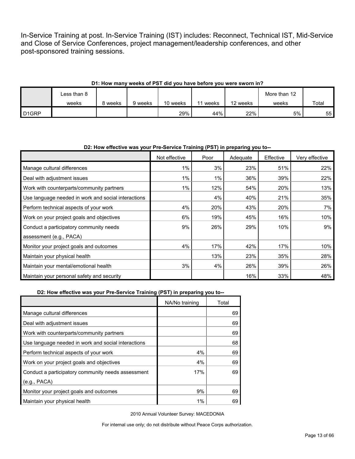In-Service Training at post. In-Service Training (IST) includes: Reconnect, Technical IST, Mid-Service and Close of Service Conferences, project management/leadership conferences, and other post-sponsored training sessions.

#### **D1: How many weeks of PST did you have before you were sworn in?**

|                   | Less than 8 |         |         |          |       |          | More than 12 |       |
|-------------------|-------------|---------|---------|----------|-------|----------|--------------|-------|
|                   | weeks       | 8 weeks | 9 weeks | 10 weeks | weeks | 12 weeks | weeks        | Total |
| D <sub>1GRP</sub> |             |         |         | 29%      | 44%   | 22%      | 5%           | 55    |

#### **D2: How effective was your Pre-Service Training (PST) in preparing you to--**

|                                                     | Not effective | Poor | Adequate | Effective | Very effective |
|-----------------------------------------------------|---------------|------|----------|-----------|----------------|
| Manage cultural differences                         | 1%            | 3%   | 23%      | 51%       | 22%            |
| Deal with adjustment issues                         | 1%            | 1%   | 36%      | 39%       | 22%            |
| Work with counterparts/community partners           | $1\%$         | 12%  | 54%      | 20%       | 13%            |
| Use language needed in work and social interactions |               | 4%   | 40%      | 21%       | 35%            |
| Perform technical aspects of your work              | 4%            | 20%  | 43%      | 20%       | 7%             |
| Work on your project goals and objectives           | 6%            | 19%  | 45%      | 16%       | 10%            |
| Conduct a participatory community needs             | 9%            | 26%  | 29%      | 10%       | 9%             |
| assessment (e.g., PACA)                             |               |      |          |           |                |
| Monitor your project goals and outcomes             | 4%            | 17%  | 42%      | 17%       | 10%            |
| Maintain your physical health                       |               | 13%  | 23%      | 35%       | 28%            |
| Maintain your mental/emotional health               | 3%            | 4%   | 26%      | 39%       | 26%            |
| Maintain your personal safety and security          |               |      | 16%      | 33%       | 48%            |

#### **D2: How effective was your Pre-Service Training (PST) in preparing you to--**

|                                                     | NA/No training | Total |
|-----------------------------------------------------|----------------|-------|
| Manage cultural differences                         |                | 69    |
| Deal with adjustment issues                         |                | 69    |
| Work with counterparts/community partners           |                | 69    |
| Use language needed in work and social interactions |                | 68    |
| Perform technical aspects of your work              | 4%             | 69    |
| Work on your project goals and objectives           | 4%             | 69    |
| Conduct a participatory community needs assessment  | 17%            | 69    |
| (e.g., PACA)                                        |                |       |
| Monitor your project goals and outcomes             | 9%             | 69    |
| Maintain your physical health                       | 1%             | 69    |

2010 Annual Volunteer Survey: MACEDONIA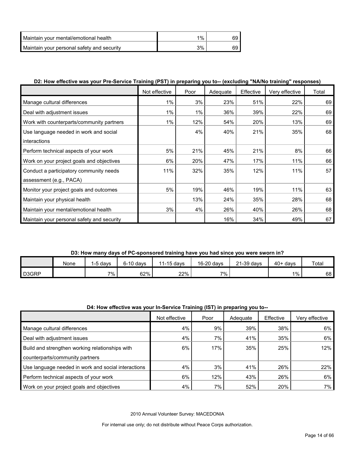| Maintain your mental/emotional health      | $1\%$ |  |
|--------------------------------------------|-------|--|
| Maintain your personal safety and security | 3%    |  |

#### **D2: How effective was your Pre-Service Training (PST) in preparing you to-- (excluding "NA/No training" responses)**

|                                            | Not effective | Poor  | Adequate | Effective | Very effective | Total |
|--------------------------------------------|---------------|-------|----------|-----------|----------------|-------|
| Manage cultural differences                | 1%            | 3%    | 23%      | 51%       | 22%            | 69    |
| Deal with adjustment issues                | 1%            | $1\%$ | 36%      | 39%       | 22%            | 69    |
| Work with counterparts/community partners  | 1%            | 12%   | 54%      | 20%       | 13%            | 69    |
| Use language needed in work and social     |               | 4%    | 40%      | 21%       | 35%            | 68    |
| interactions                               |               |       |          |           |                |       |
| Perform technical aspects of your work     | 5%            | 21%   | 45%      | 21%       | 8%             | 66    |
| Work on your project goals and objectives  | 6%            | 20%   | 47%      | 17%       | 11%            | 66    |
| Conduct a participatory community needs    | 11%           | 32%   | 35%      | 12%       | 11%            | 57    |
| assessment (e.g., PACA)                    |               |       |          |           |                |       |
| Monitor your project goals and outcomes    | 5%            | 19%   | 46%      | 19%       | 11%            | 63    |
| Maintain your physical health              |               | 13%   | 24%      | 35%       | 28%            | 68    |
| Maintain your mental/emotional health      | 3%            | 4%    | 26%      | 40%       | 26%            | 68    |
| Maintain your personal safety and security |               |       | 16%      | 34%       | 49%            | 67    |

#### **D3: How many days of PC-sponsored training have you had since you were sworn in?**

|                    | None | , davs | $6-10$ davs | 11-15 days | 16-20 days | $21-39$ days | $40+$ davs | Total |
|--------------------|------|--------|-------------|------------|------------|--------------|------------|-------|
| D <sub>3</sub> GRP |      | 7%.    | 62%         | 22%        | 7%.        |              | 1%         | 68    |

#### **D4: How effective was your In-Service Training (IST) in preparing you to--**

|                                                     | Not effective | Poor | Adequate | Effective | Verv effective |
|-----------------------------------------------------|---------------|------|----------|-----------|----------------|
| Manage cultural differences                         | 4%            | 9%   | 39%      | 38%       | 6%             |
| Deal with adjustment issues                         | 4%            | 7%   | 41%      | 35%       | 6%             |
| Build and strengthen working relationships with     | 6%            | 17%  | 35%      | 25%       | 12%            |
| counterparts/community partners                     |               |      |          |           |                |
| Use language needed in work and social interactions | 4%            | 3%   | 41%      | 26%       | 22%            |
| Perform technical aspects of your work              | 6%            | 12%  | 43%      | 26%       | 6%             |
| Work on your project goals and objectives           | 4%            | 7%   | 52%      | 20%       | 7%             |

2010 Annual Volunteer Survey: MACEDONIA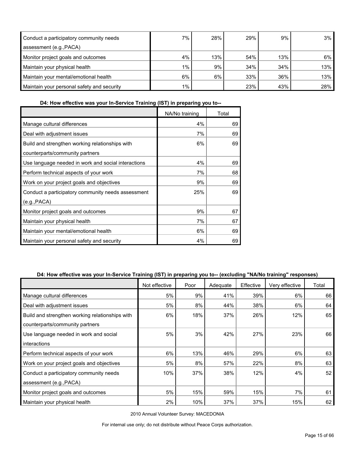| Conduct a participatory community needs    | 7%    | 28% | 29% | 9%  | 3%    |
|--------------------------------------------|-------|-----|-----|-----|-------|
| assessment (e.g., PACA)                    |       |     |     |     |       |
| Monitor project goals and outcomes         | 4%    | 13% | 54% | 13% | $6\%$ |
| Maintain your physical health              | $1\%$ | 9%  | 34% | 34% | 13%   |
| Maintain your mental/emotional health      | 6%    | 6%  | 33% | 36% | 13%   |
| Maintain your personal safety and security | $1\%$ |     | 23% | 43% | 28%   |

**D4: How effective was your In-Service Training (IST) in preparing you to--**

|                                                     | NA/No training | Total |
|-----------------------------------------------------|----------------|-------|
| Manage cultural differences                         | 4%             | 69    |
| Deal with adjustment issues                         | 7%             | 69    |
| Build and strengthen working relationships with     | 6%             | 69    |
| counterparts/community partners                     |                |       |
| Use language needed in work and social interactions | 4%             | 69    |
| Perform technical aspects of your work              | 7%             | 68    |
| Work on your project goals and objectives           | 9%             | 69    |
| Conduct a participatory community needs assessment  | 25%            | 69    |
| (e.g., PACA)                                        |                |       |
| Monitor project goals and outcomes                  | 9%             | 67    |
| Maintain your physical health                       | 7%             | 67    |
| Maintain your mental/emotional health               | 6%             | 69    |
| Maintain your personal safety and security          | 4%             | 69    |

#### **D4: How effective was your In-Service Training (IST) in preparing you to-- (excluding "NA/No training" responses)**

|                                                 | Not effective | Poor | Adequate | Effective | Very effective | Total |
|-------------------------------------------------|---------------|------|----------|-----------|----------------|-------|
| Manage cultural differences                     | 5%            | 9%   | 41%      | 39%       | 6%             | 66    |
| Deal with adjustment issues                     | 5%            | 8%   | 44%      | 38%       | 6%             | 64    |
| Build and strengthen working relationships with | 6%            | 18%  | 37%      | 26%       | 12%            | 65    |
| counterparts/community partners                 |               |      |          |           |                |       |
| Use language needed in work and social          | 5%            | 3%   | 42%      | 27%       | 23%            | 66    |
| interactions                                    |               |      |          |           |                |       |
| Perform technical aspects of your work          | 6%            | 13%  | 46%      | 29%       | 6%             | 63    |
| Work on your project goals and objectives       | 5%            | 8%   | 57%      | 22%       | 8%             | 63    |
| Conduct a participatory community needs         | 10%           | 37%  | 38%      | 12%       | 4%             | 52    |
| assessment (e.g., PACA)                         |               |      |          |           |                |       |
| Monitor project goals and outcomes              | 5%            | 15%  | 59%      | 15%       | 7%             | 61    |
| Maintain your physical health                   | 2%            | 10%  | 37%      | 37%       | 15%            | 62    |

2010 Annual Volunteer Survey: MACEDONIA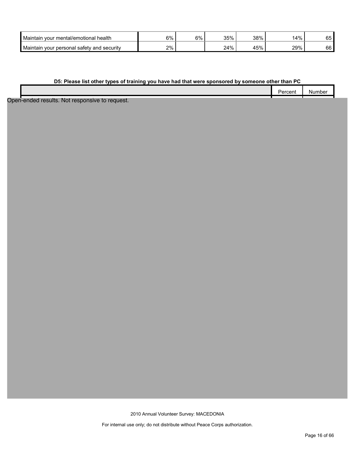| Maintain<br>mental/emotional health<br>vour        | 6% | 6% | 35% | 38%        | 14% | $\sim$ $\sim$<br>◡◡ |
|----------------------------------------------------|----|----|-----|------------|-----|---------------------|
| vour personal safety and<br>Maintain<br>l securitv | 2% |    | 24% | E0/<br>45% | 29% | 66                  |

#### **D5: Please list other types of training you have had that were sponsored by someone other than PC**

| l<br>:ent | NUMBE. |
|-----------|--------|
|           |        |

Open-ended results. Not responsive to request.

2010 Annual Volunteer Survey: MACEDONIA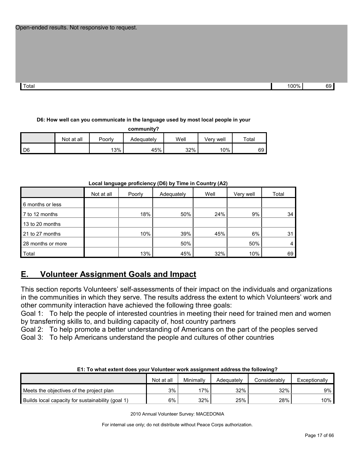| Total | 100% | 60<br>ັບ |
|-------|------|----------|

#### **D6: How well can you communicate in the language used by most local people in your**

**community?**

|      | Not at all | Poorly | Adequately | Well | Verv weli | Total |
|------|------------|--------|------------|------|-----------|-------|
| I D6 |            | 13%    | 45%        | 32%  | 10%       | 69    |

|                   |            | .      | .          | .    |           |       |
|-------------------|------------|--------|------------|------|-----------|-------|
|                   | Not at all | Poorly | Adequately | Well | Very well | Total |
| 6 months or less  |            |        |            |      |           |       |
| 7 to 12 months    |            | 18%    | 50%        | 24%  | 9%        | 34    |
| 13 to 20 months   |            |        |            |      |           |       |
| 21 to 27 months   |            | 10%    | 39%        | 45%  | 6%        | 31    |
| 28 months or more |            |        | 50%        |      | 50%       |       |
| Total             |            | 13%    | 45%        | 32%  | 10%       | 69    |

#### **Local language proficiency (D6) by Time in Country (A2)**

### <span id="page-16-0"></span>**E. Volunteer Assignment Goals and Impact**

This section reports Volunteers' self-assessments of their impact on the individuals and organizations in the communities in which they serve. The results address the extent to which Volunteers' work and other community interaction have achieved the following three goals:

Goal 1: To help the people of interested countries in meeting their need for trained men and women by transferring skills to, and building capacity of, host country partners

Goal 2: To help promote a better understanding of Americans on the part of the peoples served

Goal 3: To help Americans understand the people and cultures of other countries

| E1: To what extent does your volunteer work assignment address the following? |            |           |            |              |               |  |
|-------------------------------------------------------------------------------|------------|-----------|------------|--------------|---------------|--|
|                                                                               | Not at all | Minimally | Adequately | Considerably | Exceptionally |  |
| Meets the objectives of the project plan                                      | 3%         | '7% .     | 32%        | 32%          | 9% .          |  |
| Builds local capacity for sustainability (goal 1)                             | 6%         | 32%       | 25%        | 28%          | 10%           |  |

**E1: To what extent does your Volunteer work assignment address the following?**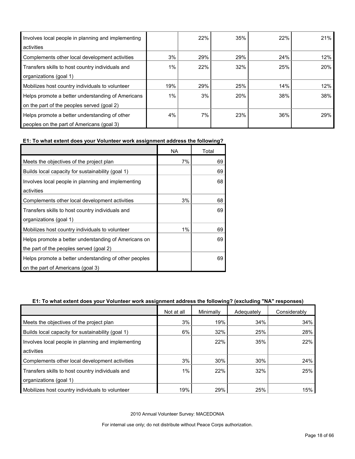| Involves local people in planning and implementing<br>activities |     | 22% | 35% | 22% | 21%        |
|------------------------------------------------------------------|-----|-----|-----|-----|------------|
| Complements other local development activities                   | 3%  | 29% | 29% | 24% | 12%        |
| Transfers skills to host country individuals and                 | 1%  | 22% | 32% | 25% | <b>20%</b> |
| organizations (goal 1)                                           |     |     |     |     |            |
| Mobilizes host country individuals to volunteer                  | 19% | 29% | 25% | 14% | 12%        |
| Helps promote a better understanding of Americans                | 1%  | 3%  | 20% | 38% | 38%        |
| on the part of the peoples served (goal 2)                       |     |     |     |     |            |
| Helps promote a better understanding of other                    | 4%  | 7%  | 23% | 36% | 29%        |
| peoples on the part of Americans (goal 3)                        |     |     |     |     |            |

#### **E1: To what extent does your Volunteer work assignment address the following?**

|                                                       | ΝA    | Total |
|-------------------------------------------------------|-------|-------|
| Meets the objectives of the project plan              | 7%    | 69    |
| Builds local capacity for sustainability (goal 1)     |       | 69    |
| Involves local people in planning and implementing    |       | 68    |
| activities                                            |       |       |
| Complements other local development activities        | 3%    | 68    |
| Transfers skills to host country individuals and      |       | 69    |
| organizations (goal 1)                                |       |       |
| Mobilizes host country individuals to volunteer       | $1\%$ | 69    |
| Helps promote a better understanding of Americans on  |       | 69    |
| the part of the peoples served (goal 2)               |       |       |
| Helps promote a better understanding of other peoples |       | 69    |
| on the part of Americans (goal 3)                     |       |       |

#### **E1: To what extent does your Volunteer work assignment address the following? (excluding "NA" responses)**

|                                                    | Not at all | Minimally | Adequately | Considerably |
|----------------------------------------------------|------------|-----------|------------|--------------|
| Meets the objectives of the project plan           | 3%         | 19%       | 34%        | 34%          |
| Builds local capacity for sustainability (goal 1)  | 6%         | 32%       | 25%        | 28%          |
| Involves local people in planning and implementing |            | 22%       | 35%        | 22%          |
| activities                                         |            |           |            |              |
| Complements other local development activities     | 3%         | 30%       | 30%        | 24%          |
| Transfers skills to host country individuals and   | 1%         | 22%       | 32%        | 25%          |
| organizations (goal 1)                             |            |           |            |              |
| Mobilizes host country individuals to volunteer    | 19%        | 29%       | 25%        | 15%          |

2010 Annual Volunteer Survey: MACEDONIA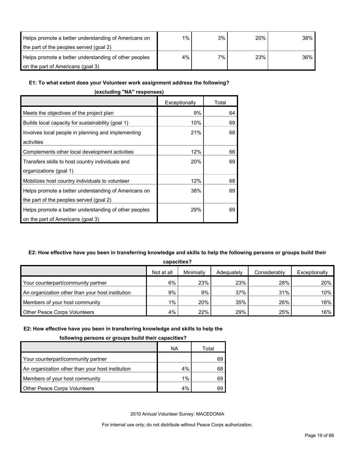| Helps promote a better understanding of Americans on  | 1% | 3%    | 20% | $38\%$ |
|-------------------------------------------------------|----|-------|-----|--------|
| the part of the peoples served (goal 2)               |    |       |     |        |
| Helps promote a better understanding of other peoples | 4% | $7\%$ | 23% | 36%    |
| on the part of Americans (goal 3)                     |    |       |     |        |

#### **E1: To what extent does your Volunteer work assignment address the following?**

| (excluding "NA" responses)                                                                      |               |       |  |  |  |  |
|-------------------------------------------------------------------------------------------------|---------------|-------|--|--|--|--|
|                                                                                                 | Exceptionally | Total |  |  |  |  |
| Meets the objectives of the project plan                                                        | 9%            | 64    |  |  |  |  |
| Builds local capacity for sustainability (goal 1)                                               | 10%           | 69    |  |  |  |  |
| Involves local people in planning and implementing<br>activities                                | 21%           | 68    |  |  |  |  |
| Complements other local development activities                                                  | 12%           | 66    |  |  |  |  |
| Transfers skills to host country individuals and<br>organizations (goal 1)                      | 20%           | 69    |  |  |  |  |
| Mobilizes host country individuals to volunteer                                                 | 12%           | 68    |  |  |  |  |
| Helps promote a better understanding of Americans on<br>the part of the peoples served (goal 2) | 38%           | 69    |  |  |  |  |
| Helps promote a better understanding of other peoples<br>on the part of Americans (goal 3)      | 29%           | 69    |  |  |  |  |

#### **E2: How effective have you been in transferring knowledge and skills to help the following persons or groups build their**

**capacities?**

|                                                  | Not at all | Minimally | Adequately | Considerably | Exceptionally |  |  |  |
|--------------------------------------------------|------------|-----------|------------|--------------|---------------|--|--|--|
| Your counterpart/community partner               | 6%         | 23%       | 23%        | 28%          | 20%           |  |  |  |
| An organization other than your host institution | 9%         | 9%        | 37%        | 31%          | 10%           |  |  |  |
| Members of your host community                   | $1\%$      | 20%       | 35%        | 26%          | 16%           |  |  |  |
| <b>Other Peace Corps Volunteers</b>              | 4%         | 22%       | 29%        | 25%          | 16%           |  |  |  |

#### **E2: How effective have you been in transferring knowledge and skills to help the**

#### **following persons or groups build their capacities?**

|                                                  | ΝA    | Total |
|--------------------------------------------------|-------|-------|
| Your counterpart/community partner               |       | 69    |
| An organization other than your host institution | $4\%$ | 68    |
| Members of your host community                   | $1\%$ | 69    |
| <b>Other Peace Corps Volunteers</b>              | 4%    |       |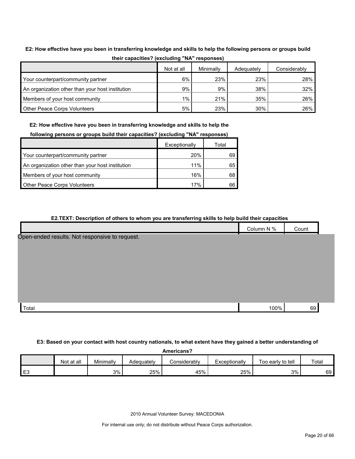|                                                  | Not at all | Minimally | Adequately | Considerably |
|--------------------------------------------------|------------|-----------|------------|--------------|
| Your counterpart/community partner               | 6%         | 23%       | 23%        | 28%          |
| An organization other than your host institution | 9%         | 9%        | 38%        | 32%          |
| Members of your host community                   | $1\%$      | 21%       | 35%        | 26%          |
| <b>Other Peace Corps Volunteers</b>              | 5%         | 23%       | 30%        | 26%          |

### **E2: How effective have you been in transferring knowledge and skills to help the following persons or groups build their capacities? (excluding "NA" responses)**

**E2: How effective have you been in transferring knowledge and skills to help the** 

|  |  | following persons or groups build their capacities? (excluding "NA" responses) |
|--|--|--------------------------------------------------------------------------------|
|--|--|--------------------------------------------------------------------------------|

|                                                  | Exceptionally | Total |
|--------------------------------------------------|---------------|-------|
| Your counterpart/community partner               | 20%           | 69    |
| An organization other than your host institution | 11%           | 65    |
| Members of your host community                   | 16%           | 68    |
| <b>Other Peace Corps Volunteers</b>              | 17%           |       |

| E2.TEXT: Description of others to whom you are transferring skills to help build their capacities |            |       |
|---------------------------------------------------------------------------------------------------|------------|-------|
|                                                                                                   | Column N % | Count |
| Open-ended results. Not responsive to request.                                                    |            |       |
|                                                                                                   |            |       |
|                                                                                                   |            |       |
|                                                                                                   |            |       |
|                                                                                                   |            |       |
|                                                                                                   |            |       |
|                                                                                                   |            |       |
| Total                                                                                             | 100%       | 69    |

#### **E3: Based on your contact with host country nationals, to what extent have they gained a better understanding of**

|  | Americans? |
|--|------------|
|  |            |

| .              |            |           |            |                     |               |                   |       |
|----------------|------------|-----------|------------|---------------------|---------------|-------------------|-------|
|                | Not at all | Minimallv | Adequately | <b>Considerably</b> | Exceptionally | Too early to tell | Total |
| E <sub>3</sub> |            | 3%        | 25%        | 45%                 | 25%           | 3%                | 69    |

2010 Annual Volunteer Survey: MACEDONIA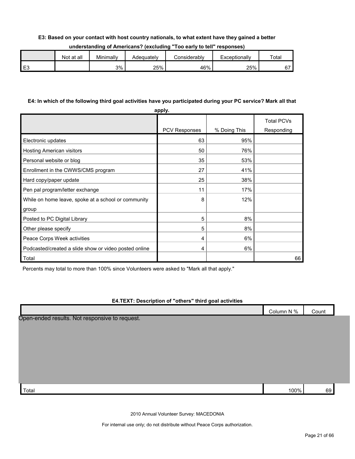#### **E3: Based on your contact with host country nationals, to what extent have they gained a better**

| understanding of Americans? (excluding "Too early to tell" responses) |  |  |  |
|-----------------------------------------------------------------------|--|--|--|
|-----------------------------------------------------------------------|--|--|--|

| Not at all | Minimally | Adequatelv | :onsiderablv | Exceptionallv | Totai |
|------------|-----------|------------|--------------|---------------|-------|
|            | 3%        | 25%        | 46%          | 25%           | ~-    |

#### **E4: In which of the following third goal activities have you participated during your PC service? Mark all that**

| apply.                                                |                      |              |                                 |  |  |  |  |
|-------------------------------------------------------|----------------------|--------------|---------------------------------|--|--|--|--|
|                                                       | <b>PCV Responses</b> | % Doing This | <b>Total PCVs</b><br>Responding |  |  |  |  |
| Electronic updates                                    | 63                   | 95%          |                                 |  |  |  |  |
| Hosting American visitors                             | 50                   | 76%          |                                 |  |  |  |  |
| Personal website or blog                              | 35                   | 53%          |                                 |  |  |  |  |
| Enrollment in the CWWS/CMS program                    | 27                   | 41%          |                                 |  |  |  |  |
| Hard copy/paper update                                | 25                   | 38%          |                                 |  |  |  |  |
| Pen pal program/letter exchange                       | 11                   | 17%          |                                 |  |  |  |  |
| While on home leave, spoke at a school or community   | 8                    | 12%          |                                 |  |  |  |  |
| group                                                 |                      |              |                                 |  |  |  |  |
| Posted to PC Digital Library                          | 5                    | 8%           |                                 |  |  |  |  |
| Other please specify                                  | 5                    | 8%           |                                 |  |  |  |  |
| Peace Corps Week activities                           | 4                    | 6%           |                                 |  |  |  |  |
| Podcasted/created a slide show or video posted online | 4                    | 6%           |                                 |  |  |  |  |
| Total                                                 |                      |              | 66                              |  |  |  |  |

Percents may total to more than 100% since Volunteers were asked to "Mark all that apply."

#### **E4.TEXT: Description of "others" third goal activities**

|                                                | Column N % | Count |  |
|------------------------------------------------|------------|-------|--|
| Open-ended results. Not responsive to request. |            |       |  |
|                                                |            |       |  |
|                                                |            |       |  |
|                                                |            |       |  |
|                                                |            |       |  |
|                                                |            |       |  |
|                                                |            |       |  |
| Total                                          | 100%       | 69    |  |

2010 Annual Volunteer Survey: MACEDONIA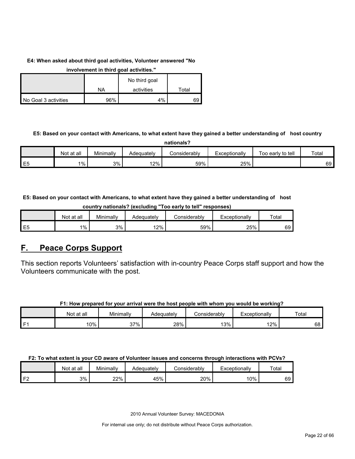#### **E4: When asked about third goal activities, Volunteer answered "No**

**involvement in third goal activities."** 

|                      |     | No third goal |       |
|----------------------|-----|---------------|-------|
|                      | NA  | activities    | ⊤otai |
| No Goal 3 activities | 96% | 4%            | 69    |

#### **E5: Based on your contact with Americans, to what extent have they gained a better understanding of host country**

**nationals?**

|                | Not at all | Minimally | Adequatelv | onsiderablvٽ | Exceptionally | Too early to tell | Total |
|----------------|------------|-----------|------------|--------------|---------------|-------------------|-------|
| E <sub>5</sub> | 1%         | 3%        | 2%         | 59%          | 25%           |                   | 69    |

#### **E5: Based on your contact with Americans, to what extent have they gained a better understanding of host country nationals? (excluding "Too early to tell" responses)**

|         | Not at all | Minimallv | $\sim$<br>Adequately | :onsiderablv | Exceptionally<br>—∧" | Total |
|---------|------------|-----------|----------------------|--------------|----------------------|-------|
| 巨石<br>└ | $1\%$      | 3%        | 12%                  | 59%          | 25%                  | 69    |

### <span id="page-21-0"></span>**F. Peace Corps Support**

This section reports Volunteers' satisfaction with in-country Peace Corps staff support and how the Volunteers communicate with the post.

#### **F1: How prepared for your arrival were the host people with whom you would be working?**

|     | Not<br>t at all | Minimally  | Adequately | Considerably | Exceptionally | Total |
|-----|-----------------|------------|------------|--------------|---------------|-------|
| ۰ ت | 10%             | 37%<br>، ن | 28%        | 13%          | 12%           | 68    |

#### **F2: To what extent is your CD aware of Volunteer issues and concerns through interactions with PCVs?**

|    | Not at all | Minimally | Adeauatelv | onsiderablyٽ | Exceptionally | Total |
|----|------------|-----------|------------|--------------|---------------|-------|
| r. | 3%         | 22%       | 45%        | 20%          | 10%           | 69    |

2010 Annual Volunteer Survey: MACEDONIA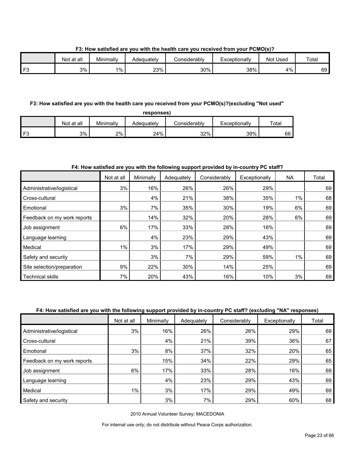**F3: How satisfied are you with the health care you received from your PCMO(s)?**

|          | Not at all | Minimally | Adeɑuatelv | شonsiderabl∨ | Exceptionally | Used<br>Not | Total |
|----------|------------|-----------|------------|--------------|---------------|-------------|-------|
| ro-<br>- | 3%         | $1\%$     | 23%        | 30%          | 38%           | 4%          | 69 I  |

#### **F3: How satisfied are you with the health care you received from your PCMO(s)?(excluding "Not used"**

| responses)     |            |           |            |              |               |       |  |  |
|----------------|------------|-----------|------------|--------------|---------------|-------|--|--|
|                | Not at all | Minimally | Adequately | Considerabl∨ | Exceptionally | ⊤otaı |  |  |
| F <sub>3</sub> | 3%         | 2%        | 24%        | 32%          | 39%           | 66    |  |  |

#### **F4: How satisfied are you with the following support provided by in-country PC staff?**

|                             | Not at all | Minimally | Adequately | Considerably | Exceptionally | <b>NA</b> | Total |
|-----------------------------|------------|-----------|------------|--------------|---------------|-----------|-------|
| Administrative/logistical   | 3%         | 16%       | 26%        | 26%          | 29%           |           | 69    |
| Cross-cultural              |            | 4%        | 21%        | 38%          | 35%           | $1\%$     | 68    |
| Emotional                   | 3%         | 7%        | 35%        | 30%          | 19%           | 6%        | 69    |
| Feedback on my work reports |            | 14%       | 32%        | 20%          | 28%           | 6%        | 69    |
| Job assignment              | 6%         | 17%       | 33%        | 28%          | 16%           |           | 69    |
| Language learning           |            | 4%        | 23%        | 29%          | 43%           |           | 69    |
| Medical                     | $1\%$      | 3%        | 17%        | 29%          | 49%           |           | 69    |
| Safety and security         |            | 3%        | 7%         | 29%          | 59%           | $1\%$     | 69    |
| Site selection/preparation  | 9%         | 22%       | 30%        | 14%          | 25%           |           | 69    |
| <b>Technical skills</b>     | 7%         | 20%       | 43%        | 16%          | 10%           | 3%        | 69    |

#### **F4: How satisfied are you with the following support provided by in-country PC staff? (excluding "NA" responses)**

|                             | Not at all | Minimally | Adequately | Considerably | Exceptionally | Total |
|-----------------------------|------------|-----------|------------|--------------|---------------|-------|
| Administrative/logistical   | 3%         | 16%       | 26%        | 26%          | 29%           | 69    |
| Cross-cultural              |            | 4%        | 21%        | 39%          | 36%           | 67    |
| Emotional                   | 3%         | 8%        | 37%        | 32%          | 20%           | 65    |
| Feedback on my work reports |            | 15%       | 34%        | 22%          | 29%           | 65    |
| Job assignment              | 6%         | 17%       | 33%        | 28%          | 16%           | 69    |
| Language learning           |            | 4%        | 23%        | 29%          | 43%           | 69    |
| Medical                     | 1%         | 3%        | 17%        | 29%          | 49%           | 69    |
| Safety and security         |            | 3%        | 7%         | 29%          | 60%           | 68    |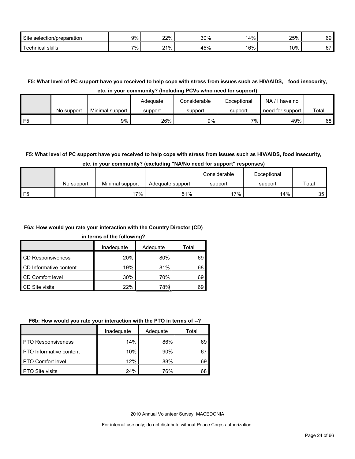| <b>Site</b><br>selection/preparation | 9% | 220<br>—∠ 70  —        | 30% | A <sub>0</sub><br>70 | 25% | $\sim$<br>৩৬ |
|--------------------------------------|----|------------------------|-----|----------------------|-----|--------------|
| Technical<br>skills                  | 7% | 0.40<br>70<br><u>.</u> | 45% | 160/<br>0/0          | 10% | $\sim$       |

**F5: What level of PC support have you received to help cope with stress from issues such as HIV/AIDS, food insecurity,** 

**etc. in your community? (Including PCVs w/no need for support)**

|    |            |                 | Adequate | Considerable | Exceptional | NA.<br>I have no |       |
|----|------------|-----------------|----------|--------------|-------------|------------------|-------|
|    | No support | Minimal support | support  | support      | support     | need for support | Total |
| F5 |            | 9%              | 26%      | 9%           | 7% .        | 49%              | 68    |

### **F5: What level of PC support have you received to help cope with stress from issues such as HIV/AIDS, food insecurity,**

|      |            |                 |                  | Considerable | Exceptional |                 |
|------|------------|-----------------|------------------|--------------|-------------|-----------------|
|      | No support | Minimal support | Adequate support | support      | support     | Total           |
| l F5 |            | '7%             | 51%              | '7%          | 14%         | 35 <sub>1</sub> |

#### **F6a: How would you rate your interaction with the Country Director (CD)**

**in terms of the following?**

r

|                          | Inadequate | Adequate   | Total |
|--------------------------|------------|------------|-------|
| <b>CD Responsiveness</b> | 20%        | 80%        | 69    |
| CD Informative content   | 19%        | 81%        | 68    |
| CD Comfort level         | 30%        | 70%        | 69    |
| <b>CD</b> Site visits    | 22%        | <b>78%</b> | 69    |
|                          |            |            |       |

#### **F6b: How would you rate your interaction with the PTO in terms of --?** )

|                                | Inadequate | Adequate | Total |
|--------------------------------|------------|----------|-------|
| <b>PTO Responsiveness</b>      | 14%        | 86%      | 69    |
| <b>PTO</b> Informative content | 10%        | 90%      | 67    |
| <b>PTO Comfort level</b>       | 12%        | 88%      | 69    |
| <b>PTO Site visits</b>         | 24%        | 76%      | 68    |

2010 Annual Volunteer Survey: MACEDONIA

 $\overline{\phantom{0}}$ 

 $\mathbf{r}$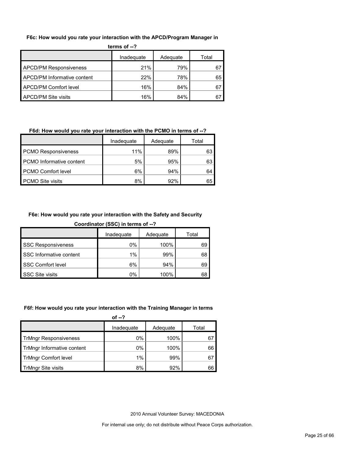#### **F6c: How would you rate your interaction with the APCD/Program Manager in**

| : י־ וש כווום                 |            |          |       |  |  |
|-------------------------------|------------|----------|-------|--|--|
|                               | Inadequate | Adequate | Total |  |  |
| <b>APCD/PM Responsiveness</b> | 21%        | 79%      | 67    |  |  |
| APCD/PM Informative content   | 22%        | 78%      | 65    |  |  |
| APCD/PM Comfort level         | 16%        | 84%      | 67    |  |  |
| APCD/PM Site visits           | 16%        | 84%      |       |  |  |

#### **terms of --?**

#### **F6d: How would you rate your interaction with the PCMO in terms of --?**

|                            | Inadequate | Adequate | Total |
|----------------------------|------------|----------|-------|
| <b>PCMO Responsiveness</b> | 11%        | 89%      | 63    |
| PCMO Informative content   | 5%         | 95%      | 63    |
| PCMO Comfort level         | 6%         | 94%      | 64    |
| <b>PCMO Site visits</b>    | 8%         | 92%      | 65    |

#### **F6e: How would you rate your interaction with the Safety and Security**

| Coordinator (SSC) in terms of --? |  |  |  |
|-----------------------------------|--|--|--|
|                                   |  |  |  |
|                                   |  |  |  |

|                           | Inadequate | Adequate | Total |
|---------------------------|------------|----------|-------|
| <b>SSC Responsiveness</b> | 0%         | 100%     | 69    |
| SSC Informative content   | 1%         | 99%      | 68    |
| SSC Comfort level         | 6%         | 94%      | 69    |
| <b>SSC Site visits</b>    | 0%         | 100%     | 68    |

#### **F6f: How would you rate your interaction with the Training Manager in terms**

| of $-2$    |          |       |
|------------|----------|-------|
| Inadequate | Adequate | Total |
| 0%         | 100%     | 67    |
| 0%         | 100%     | 66    |
| $1\%$      | 99%      | 67    |
| 8%         | 92%      | 66    |
|            |          |       |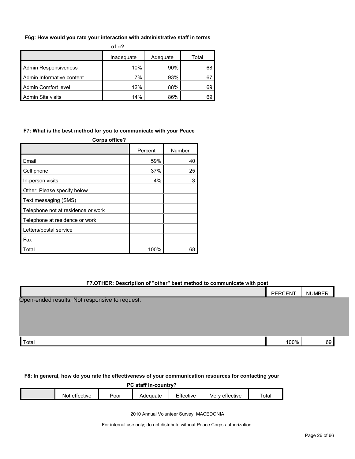#### **F6g: How would you rate your interaction with administrative staff in terms**

|                             | of $-2$    |          |       |
|-----------------------------|------------|----------|-------|
|                             | Inadeguate | Adequate | Total |
| <b>Admin Responsiveness</b> | 10%        | 90%      | 68    |
| Admin Informative content   | 7%         | 93%      | 67    |
| Admin Comfort level         | 12%        | 88%      | 69    |
| <b>Admin Site visits</b>    | 14%        | 86%      | 69    |

#### **F7: What is the best method for you to communicate with your Peace**

| Corps office?                      |         |        |  |  |  |
|------------------------------------|---------|--------|--|--|--|
|                                    | Percent | Number |  |  |  |
| Email                              | 59%     | 40     |  |  |  |
| Cell phone                         | 37%     | 25     |  |  |  |
| In-person visits                   | 4%      | 3      |  |  |  |
| Other: Please specify below        |         |        |  |  |  |
| Text messaging (SMS)               |         |        |  |  |  |
| Telephone not at residence or work |         |        |  |  |  |
| Telephone at residence or work     |         |        |  |  |  |
| Letters/postal service             |         |        |  |  |  |
| Fax                                |         |        |  |  |  |
| Total                              | 100%    | 68     |  |  |  |

#### **F7.OTHER: Description of "other" best method to communicate with post**

|                                                | PERCENT | NUMBER |  |
|------------------------------------------------|---------|--------|--|
| Open-ended results. Not responsive to request. |         |        |  |
|                                                |         |        |  |
|                                                |         |        |  |
|                                                |         |        |  |
| Total                                          | 100%    | 69     |  |

#### **F8: In general, how do you rate the effectiveness of your communication resources for contacting your**

#### **PC staff in-country?**

| tective<br>⌒™<br>NO.<br>$\blacksquare$ | oorہ۔ | Adequate | ---<br>. .<br><b>ttective</b> | effective<br>$\mathbf{v}$<br>. | $\overline{\phantom{0}}$<br>`ota. |
|----------------------------------------|-------|----------|-------------------------------|--------------------------------|-----------------------------------|
|                                        |       |          |                               |                                |                                   |

2010 Annual Volunteer Survey: MACEDONIA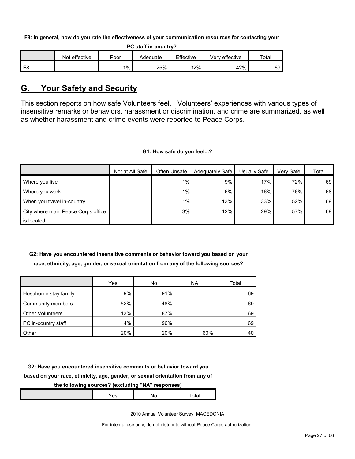**F8: In general, how do you rate the effectiveness of your communication resources for contacting your** 

**PC staff in-country?**

|                | effective<br>Not | oor   | Adequate | Effective | effective<br>√erv | Total |
|----------------|------------------|-------|----------|-----------|-------------------|-------|
| F <sub>8</sub> |                  | $1\%$ | 25%      | 32%       | 42%               | 69    |

### <span id="page-26-0"></span>**G. Your Safety and Security**

This section reports on how safe Volunteers feel. Volunteers' experiences with various types of insensitive remarks or behaviors, harassment or discrimination, and crime are summarized, as well as whether harassment and crime events were reported to Peace Corps.

#### **G1: How safe do you feel...?**

|                                    | Not at All Safe | Often Unsafe | <b>Adequately Safe</b> | Usually Safe | Verv Safe | Total |
|------------------------------------|-----------------|--------------|------------------------|--------------|-----------|-------|
| Where you live                     |                 | $1\%$        | 9%                     | 17%          | 72%       | 69    |
| Where you work                     |                 | $1\%$        | 6%                     | 16%          | 76%       | 68    |
| When you travel in-country         |                 | $1\%$        | 13%                    | 33%          | 52%       | 69    |
| City where main Peace Corps office |                 | 3%           | 12%                    | 29%          | 57%       | 69    |
| is located                         |                 |              |                        |              |           |       |

#### **G2: Have you encountered insensitive comments or behavior toward you based on your race, ethnicity, age, gender, or sexual orientation from any of the following sources?**

|                         | Yes | No  | <b>NA</b> | Total |
|-------------------------|-----|-----|-----------|-------|
| Host/home stay family   | 9%  | 91% |           | 69    |
| Community members       | 52% | 48% |           | 69    |
| <b>Other Volunteers</b> | 13% | 87% |           | 69    |
| PC in-country staff     | 4%  | 96% |           | 69    |
| Other                   | 20% | 20% | 60%       | 40    |

**G2: Have you encountered insensitive comments or behavior toward you** 

### **based on your race, ethnicity, age, gender, or sexual orientation from any of**

#### **the following sources? (excluding "NA" responses)**

|  |  | . . |  |  |
|--|--|-----|--|--|
|--|--|-----|--|--|

2010 Annual Volunteer Survey: MACEDONIA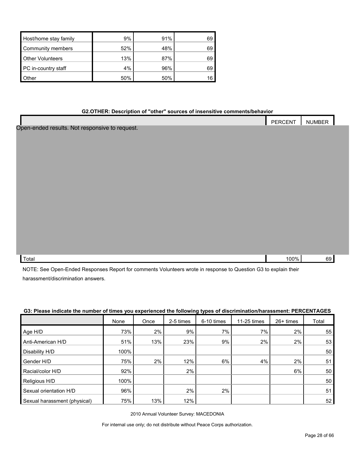| Host/home stay family   | 9%  | 91% | 69 |
|-------------------------|-----|-----|----|
| Community members       | 52% | 48% | 69 |
| <b>Other Volunteers</b> | 13% | 87% | 69 |
| PC in-country staff     | 4%  | 96% | 69 |
| Other                   | 50% | 50% | 16 |

#### **G2.OTHER: Description of "other" sources of insensitive comments/behavior**

|                                                | PERCENT | <b>NUMBER</b> |  |
|------------------------------------------------|---------|---------------|--|
| Open-ended results. Not responsive to request. |         |               |  |
|                                                |         |               |  |
|                                                |         |               |  |
|                                                |         |               |  |
|                                                |         |               |  |
|                                                |         |               |  |
|                                                |         |               |  |
|                                                |         |               |  |
|                                                |         |               |  |
|                                                |         |               |  |
|                                                |         |               |  |
|                                                |         |               |  |
|                                                |         |               |  |
|                                                |         |               |  |
| Total                                          | 100%    | 69            |  |

NOTE: See Open-Ended Responses Report for comments Volunteers wrote in response to Question G3 to explain their harassment/discrimination answers.

|                              | None | Once  | 2-5 times | 6-10 times | 11-25 times | 26+ times | Total |
|------------------------------|------|-------|-----------|------------|-------------|-----------|-------|
| Age H/D                      | 73%  | 2%    | 9%        | 7%         | 7%          | 2%        | 55    |
| Anti-American H/D            | 51%  | 13%   | 23%       | 9%         | 2%          | 2%        | 53    |
| Disability H/D               | 100% |       |           |            |             |           | 50    |
| Gender H/D                   | 75%  | $2\%$ | 12%       | 6%         | 4%          | 2%        | 51    |
| Racial/color H/D             | 92%  |       | $2\%$     |            |             | 6%        | 50    |
| Religious H/D                | 100% |       |           |            |             |           | 50    |
| Sexual orientation H/D       | 96%  |       | 2%        | 2%         |             |           | 51    |
| Sexual harassment (physical) | 75%  | 13%   | 12%       |            |             |           | 52    |

#### **G3: Please indicate the number of times you experienced the following types of discrimination/harassment: PERCENTAGES**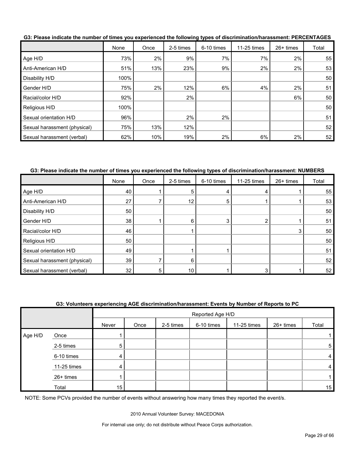|                              | None | Once | 2-5 times | 6-10 times | 11-25 times | 26+ times | Total |
|------------------------------|------|------|-----------|------------|-------------|-----------|-------|
| Age H/D                      | 73%  | 2%   | 9%        | 7%         | 7%          | 2%        | 55    |
| Anti-American H/D            | 51%  | 13%  | 23%       | 9%         | 2%          | 2%        | 53    |
| Disability H/D               | 100% |      |           |            |             |           | 50    |
| Gender H/D                   | 75%  | 2%   | 12%       | 6%         | 4%          | 2%        | 51    |
| Racial/color H/D             | 92%  |      | 2%        |            |             | 6%        | 50    |
| Religious H/D                | 100% |      |           |            |             |           | 50    |
| Sexual orientation H/D       | 96%  |      | 2%        | 2%         |             |           | 51    |
| Sexual harassment (physical) | 75%  | 13%  | 12%       |            |             |           | 52    |
| Sexual harassment (verbal)   | 62%  | 10%  | 19%       | 2%         | 6%          | 2%        | 52    |

**G3: Please indicate the number of times you experienced the following types of discrimination/harassment: PERCENTAGES**

#### **G3: Please indicate the number of times you experienced the following types of discrimination/harassment: NUMBERS**

|                              | None | Once | 2-5 times | 6-10 times | 11-25 times | 26+ times | Total |
|------------------------------|------|------|-----------|------------|-------------|-----------|-------|
| Age H/D                      | 40   |      | 5         |            | 4           |           | 55    |
| Anti-American H/D            | 27   |      | 12        | 5          |             |           | 53    |
| Disability H/D               | 50   |      |           |            |             |           | 50    |
| Gender H/D                   | 38   |      | 6         |            | ົ           |           | 51    |
| Racial/color H/D             | 46   |      |           |            |             | 3         | 50    |
| Religious H/D                | 50   |      |           |            |             |           | 50    |
| Sexual orientation H/D       | 49   |      |           |            |             |           | 51    |
| Sexual harassment (physical) | 39   |      | 6         |            |             |           | 52    |
| Sexual harassment (verbal)   | 32   |      | 10        |            |             |           | 52    |

#### **G3: Volunteers experiencing AGE discrimination/harassment: Events by Number of Reports to PC**

|         |             |       | Reported Age H/D |           |            |             |           |       |
|---------|-------------|-------|------------------|-----------|------------|-------------|-----------|-------|
|         |             | Never | Once             | 2-5 times | 6-10 times | 11-25 times | 26+ times | Total |
| Age H/D | Once        |       |                  |           |            |             |           |       |
|         | 2-5 times   | 5     |                  |           |            |             |           | 5     |
|         | 6-10 times  | 4     |                  |           |            |             |           | 4     |
|         | 11-25 times | 4     |                  |           |            |             |           | 4     |
|         | 26+ times   |       |                  |           |            |             |           |       |
|         | Total       | 15    |                  |           |            |             |           | 15    |

NOTE: Some PCVs provided the number of events without answering how many times they reported the event/s.

2010 Annual Volunteer Survey: MACEDONIA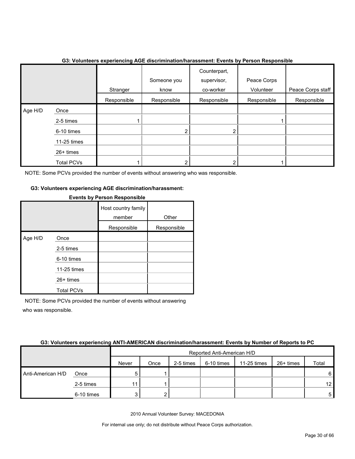|         |                   | Stranger    | Someone you<br>know | Counterpart,<br>supervisor,<br>co-worker | Peace Corps<br>Volunteer | Peace Corps staff |
|---------|-------------------|-------------|---------------------|------------------------------------------|--------------------------|-------------------|
|         |                   | Responsible | Responsible         | Responsible                              | Responsible              | Responsible       |
| Age H/D | Once              |             |                     |                                          |                          |                   |
|         | 2-5 times         |             |                     |                                          |                          |                   |
|         | 6-10 times        |             | ົ                   |                                          |                          |                   |
|         | 11-25 times       |             |                     |                                          |                          |                   |
|         | 26+ times         |             |                     |                                          |                          |                   |
|         | <b>Total PCVs</b> |             |                     |                                          |                          |                   |

#### **G3: Volunteers experiencing AGE discrimination/harassment: Events by Person Responsible**

NOTE: Some PCVs provided the number of events without answering who was responsible.

#### **G3: Volunteers experiencing AGE discrimination/harassment:**

|         |                   | <b>EVOIRS BY LIGHTHOPPORTS</b> |             |
|---------|-------------------|--------------------------------|-------------|
|         |                   | Host country family<br>member  | Other       |
|         |                   | Responsible                    | Responsible |
| Age H/D | Once              |                                |             |
|         | 2-5 times         |                                |             |
|         | 6-10 times        |                                |             |
|         | 11-25 times       |                                |             |
|         | 26+ times         |                                |             |
|         | <b>Total PCVs</b> |                                |             |

#### **Events by Person Responsible**

NOTE: Some PCVs provided the number of events without answering who was responsible.

#### **G3: Volunteers experiencing ANTI-AMERICAN discrimination/harassment: Events by Number of Reports to PC**

|                   |            |       | Reported Anti-American H/D |           |            |             |           |                 |  |  |
|-------------------|------------|-------|----------------------------|-----------|------------|-------------|-----------|-----------------|--|--|
|                   |            | Never | Once                       | 2-5 times | 6-10 times | 11-25 times | 26+ times | Total           |  |  |
| Anti-American H/D | Once       | 5     |                            |           |            |             |           | 6               |  |  |
|                   | 2-5 times  | 44    |                            |           |            |             |           | 12 <sub>1</sub> |  |  |
|                   | 6-10 times |       |                            |           |            |             |           | 5               |  |  |

2010 Annual Volunteer Survey: MACEDONIA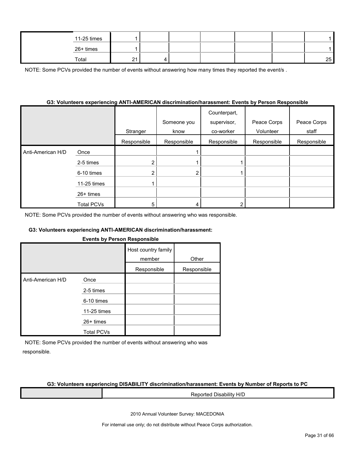| 11-25 times |             |  |  |    |
|-------------|-------------|--|--|----|
| 26+ times   |             |  |  |    |
| Total       | $\sim$<br>- |  |  | 25 |

NOTE: Some PCVs provided the number of events without answering how many times they reported the event/s.

#### **G3: Volunteers experiencing ANTI-AMERICAN discrimination/harassment: Events by Person Responsible**

|                   |                   | Stranger    | Someone you<br>know | Counterpart,<br>supervisor,<br>co-worker | Peace Corps<br>Volunteer | Peace Corps<br>staff |
|-------------------|-------------------|-------------|---------------------|------------------------------------------|--------------------------|----------------------|
|                   |                   | Responsible | Responsible         | Responsible                              | Responsible              | Responsible          |
| Anti-American H/D | Once              |             |                     |                                          |                          |                      |
|                   | 2-5 times         | າ           |                     |                                          |                          |                      |
|                   | 6-10 times        | ◠           | 2                   |                                          |                          |                      |
|                   | 11-25 times       |             |                     |                                          |                          |                      |
|                   | 26+ times         |             |                     |                                          |                          |                      |
|                   | <b>Total PCVs</b> | 5           | 4                   |                                          |                          |                      |

NOTE: Some PCVs provided the number of events without answering who was responsible.

#### **G3: Volunteers experiencing ANTI-AMERICAN discrimination/harassment:**

#### **Events by Person Responsible**

|                   |                   | Host country family<br>member | Other       |  |
|-------------------|-------------------|-------------------------------|-------------|--|
|                   |                   | Responsible                   | Responsible |  |
| Anti-American H/D | Once              |                               |             |  |
|                   | 2-5 times         |                               |             |  |
|                   | 6-10 times        |                               |             |  |
|                   | 11-25 times       |                               |             |  |
|                   | $26+$ times       |                               |             |  |
|                   | <b>Total PCVs</b> |                               |             |  |

NOTE: Some PCVs provided the number of events without answering who was responsible.

#### **G3: Volunteers experiencing DISABILITY discrimination/harassment: Events by Number of Reports to PC**

Reported Disability H/D

2010 Annual Volunteer Survey: MACEDONIA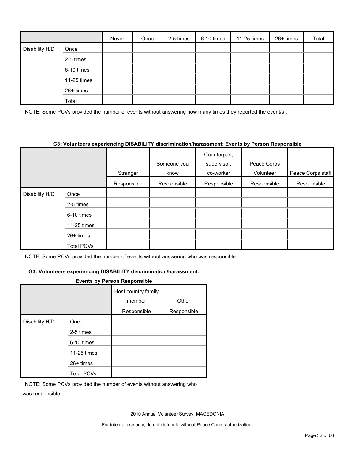|                |             | Never | Once | 2-5 times | 6-10 times | 11-25 times | 26+ times | Total |
|----------------|-------------|-------|------|-----------|------------|-------------|-----------|-------|
| Disability H/D | Once        |       |      |           |            |             |           |       |
|                | 2-5 times   |       |      |           |            |             |           |       |
|                | 6-10 times  |       |      |           |            |             |           |       |
|                | 11-25 times |       |      |           |            |             |           |       |
|                | 26+ times   |       |      |           |            |             |           |       |
|                | Total       |       |      |           |            |             |           |       |

NOTE: Some PCVs provided the number of events without answering how many times they reported the event/s.

#### **G3: Volunteers experiencing DISABILITY discrimination/harassment: Events by Person Responsible**

|                |                   |             | Someone you | Counterpart,<br>supervisor, | Peace Corps |                   |
|----------------|-------------------|-------------|-------------|-----------------------------|-------------|-------------------|
|                |                   | Stranger    | know        | co-worker                   | Volunteer   | Peace Corps staff |
|                |                   | Responsible | Responsible | Responsible                 | Responsible | Responsible       |
| Disability H/D | Once              |             |             |                             |             |                   |
|                | 2-5 times         |             |             |                             |             |                   |
|                | 6-10 times        |             |             |                             |             |                   |
|                | 11-25 times       |             |             |                             |             |                   |
|                | 26+ times         |             |             |                             |             |                   |
|                | <b>Total PCVs</b> |             |             |                             |             |                   |

NOTE: Some PCVs provided the number of events without answering who was responsible.

#### **G3: Volunteers experiencing DISABILITY discrimination/harassment:**

#### **Events by Person Responsible**

|                |                   | Host country family<br>member | Other       |
|----------------|-------------------|-------------------------------|-------------|
|                |                   | Responsible                   | Responsible |
| Disability H/D | Once              |                               |             |
|                | 2-5 times         |                               |             |
|                | 6-10 times        |                               |             |
|                | 11-25 times       |                               |             |
|                | 26+ times         |                               |             |
|                | <b>Total PCVs</b> |                               |             |

NOTE: Some PCVs provided the number of events without answering who was responsible.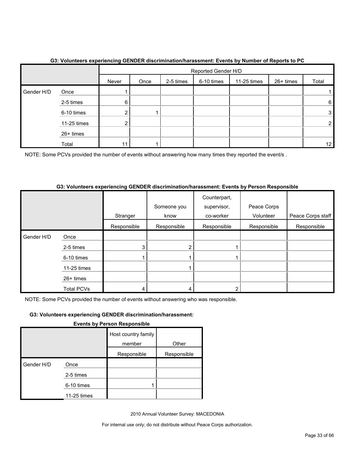|            |             |       | Reported Gender H/D |           |            |             |           |                 |
|------------|-------------|-------|---------------------|-----------|------------|-------------|-----------|-----------------|
|            |             | Never | Once                | 2-5 times | 6-10 times | 11-25 times | 26+ times | Total           |
| Gender H/D | Once        |       |                     |           |            |             |           |                 |
|            | 2-5 times   | 6     |                     |           |            |             |           | 6               |
|            | 6-10 times  |       |                     |           |            |             |           | 3               |
|            | 11-25 times |       |                     |           |            |             |           | 2               |
|            | 26+ times   |       |                     |           |            |             |           |                 |
|            | Total       |       |                     |           |            |             |           | 12 <sub>1</sub> |

#### **G3: Volunteers experiencing GENDER discrimination/harassment: Events by Number of Reports to PC**

NOTE: Some PCVs provided the number of events without answering how many times they reported the event/s.

#### **G3: Volunteers experiencing GENDER discrimination/harassment: Events by Person Responsible**

|            |                   |             | Someone you | Counterpart,<br>supervisor, | Peace Corps |                   |
|------------|-------------------|-------------|-------------|-----------------------------|-------------|-------------------|
|            |                   | Stranger    | know        | co-worker                   | Volunteer   | Peace Corps staff |
|            |                   | Responsible | Responsible | Responsible                 | Responsible | Responsible       |
| Gender H/D | Once              |             |             |                             |             |                   |
|            | 2-5 times         | 3           | 2           |                             |             |                   |
|            | 6-10 times        |             |             |                             |             |                   |
|            | 11-25 times       |             |             |                             |             |                   |
|            | 26+ times         |             |             |                             |             |                   |
|            | <b>Total PCVs</b> |             | 4           |                             |             |                   |

NOTE: Some PCVs provided the number of events without answering who was responsible.

#### **G3: Volunteers experiencing GENDER discrimination/harassment:**

#### **Events by Person Responsible**

|            |             | Host country family<br>member | Other       |
|------------|-------------|-------------------------------|-------------|
|            |             | Responsible                   | Responsible |
| Gender H/D | Once        |                               |             |
|            | 2-5 times   |                               |             |
|            | 6-10 times  |                               |             |
|            | 11-25 times |                               |             |

2010 Annual Volunteer Survey: MACEDONIA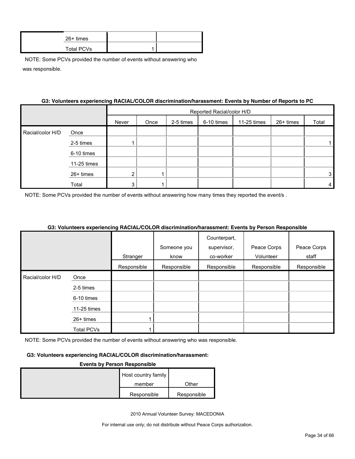| 26+ times         |  |
|-------------------|--|
| <b>Total PCVs</b> |  |

|                  | G3: Volunteers experiencing RACIAL/COLOR discrimination/harassment: Events by Number of Reports to PC |       |                           |           |            |             |           |       |  |
|------------------|-------------------------------------------------------------------------------------------------------|-------|---------------------------|-----------|------------|-------------|-----------|-------|--|
|                  |                                                                                                       |       | Reported Racial/color H/D |           |            |             |           |       |  |
|                  |                                                                                                       | Never | Once                      | 2-5 times | 6-10 times | 11-25 times | 26+ times | Total |  |
| Racial/color H/D | Once                                                                                                  |       |                           |           |            |             |           |       |  |
|                  | 2-5 times                                                                                             |       |                           |           |            |             |           |       |  |
|                  | 6-10 times                                                                                            |       |                           |           |            |             |           |       |  |
|                  | 11-25 times                                                                                           |       |                           |           |            |             |           |       |  |
|                  | $26+ times$                                                                                           | 2     |                           |           |            |             |           | 3     |  |
|                  | Total                                                                                                 |       |                           |           |            |             |           | 4     |  |

NOTE: Some PCVs provided the number of events without answering how many times they reported the event/s.

#### **G3: Volunteers experiencing RACIAL/COLOR discrimination/harassment: Events by Person Responsible**

|                  |                   |             |             | Counterpart, |             |             |
|------------------|-------------------|-------------|-------------|--------------|-------------|-------------|
|                  |                   |             | Someone you | supervisor,  | Peace Corps | Peace Corps |
|                  |                   | Stranger    | know        | co-worker    | Volunteer   | staff       |
|                  |                   | Responsible | Responsible | Responsible  | Responsible | Responsible |
| Racial/color H/D | Once              |             |             |              |             |             |
|                  | 2-5 times         |             |             |              |             |             |
|                  | 6-10 times        |             |             |              |             |             |
|                  | 11-25 times       |             |             |              |             |             |
|                  | $26+$ times       |             |             |              |             |             |
|                  | <b>Total PCVs</b> |             |             |              |             |             |

NOTE: Some PCVs provided the number of events without answering who was responsible.

#### **G3: Volunteers experiencing RACIAL/COLOR discrimination/harassment:**

#### **Events by Person Responsible**

| Host country family |             |
|---------------------|-------------|
| member              | Other       |
| Responsible         | Responsible |

2010 Annual Volunteer Survey: MACEDONIA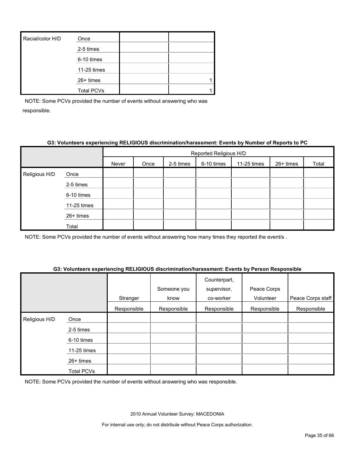| Racial/color H/D | Once              |  |
|------------------|-------------------|--|
|                  | 2-5 times         |  |
|                  | 6-10 times        |  |
|                  | 11-25 times       |  |
|                  | 26+ times         |  |
|                  | <b>Total PCVs</b> |  |

#### **G3: Volunteers experiencing RELIGIOUS discrimination/harassment: Events by Number of Reports to PC**

|               |             | Reported Religious H/D |      |           |            |             |           |       |
|---------------|-------------|------------------------|------|-----------|------------|-------------|-----------|-------|
|               |             | Never                  | Once | 2-5 times | 6-10 times | 11-25 times | 26+ times | Total |
| Religious H/D | Once        |                        |      |           |            |             |           |       |
|               | 2-5 times   |                        |      |           |            |             |           |       |
|               | 6-10 times  |                        |      |           |            |             |           |       |
|               | 11-25 times |                        |      |           |            |             |           |       |
|               | 26+ times   |                        |      |           |            |             |           |       |
|               | Total       |                        |      |           |            |             |           |       |

NOTE: Some PCVs provided the number of events without answering how many times they reported the event/s .

#### **G3: Volunteers experiencing RELIGIOUS discrimination/harassment: Events by Person Responsible**

|               |                   | Stranger    | Someone you<br>know | Counterpart,<br>supervisor,<br>co-worker | Peace Corps<br>Volunteer | Peace Corps staff |
|---------------|-------------------|-------------|---------------------|------------------------------------------|--------------------------|-------------------|
|               |                   | Responsible | Responsible         | Responsible                              | Responsible              | Responsible       |
| Religious H/D | Once              |             |                     |                                          |                          |                   |
|               | 2-5 times         |             |                     |                                          |                          |                   |
|               | 6-10 times        |             |                     |                                          |                          |                   |
|               | 11-25 times       |             |                     |                                          |                          |                   |
|               | 26+ times         |             |                     |                                          |                          |                   |
|               | <b>Total PCVs</b> |             |                     |                                          |                          |                   |

NOTE: Some PCVs provided the number of events without answering who was responsible.

2010 Annual Volunteer Survey: MACEDONIA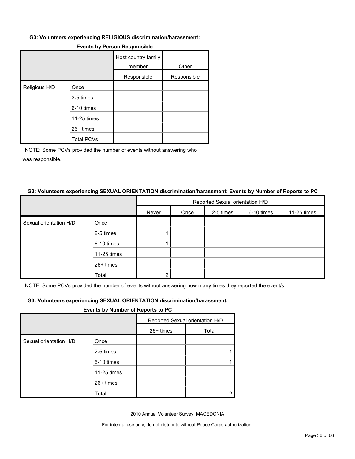#### **G3: Volunteers experiencing RELIGIOUS discrimination/harassment:**

|               |                   | Host country family<br>member | Other       |
|---------------|-------------------|-------------------------------|-------------|
|               |                   | Responsible                   | Responsible |
| Religious H/D | Once              |                               |             |
|               | 2-5 times         |                               |             |
|               | 6-10 times        |                               |             |
|               | 11-25 times       |                               |             |
|               | 26+ times         |                               |             |
|               | <b>Total PCVs</b> |                               |             |

#### **Events by Person Responsible**

NOTE: Some PCVs provided the number of events without answering who was responsible.

#### **G3: Volunteers experiencing SEXUAL ORIENTATION discrimination/harassment: Events by Number of Reports to PC**

|                        |             | Reported Sexual orientation H/D |      |           |            |             |
|------------------------|-------------|---------------------------------|------|-----------|------------|-------------|
|                        |             | Never                           | Once | 2-5 times | 6-10 times | 11-25 times |
| Sexual orientation H/D | Once        |                                 |      |           |            |             |
|                        | 2-5 times   |                                 |      |           |            |             |
|                        | 6-10 times  |                                 |      |           |            |             |
|                        | 11-25 times |                                 |      |           |            |             |
|                        | 26+ times   |                                 |      |           |            |             |
|                        | Total       | ົ                               |      |           |            |             |

NOTE: Some PCVs provided the number of events without answering how many times they reported the event/s .

#### **G3: Volunteers experiencing SEXUAL ORIENTATION discrimination/harassment:**

#### **Events by Number of Reports to PC**

|                        |             | Reported Sexual orientation H/D |       |  |
|------------------------|-------------|---------------------------------|-------|--|
|                        |             | 26+ times                       | Total |  |
| Sexual orientation H/D | Once        |                                 |       |  |
|                        | 2-5 times   |                                 |       |  |
|                        | 6-10 times  |                                 |       |  |
|                        | 11-25 times |                                 |       |  |
|                        | 26+ times   |                                 |       |  |
|                        | Total       |                                 |       |  |

2010 Annual Volunteer Survey: MACEDONIA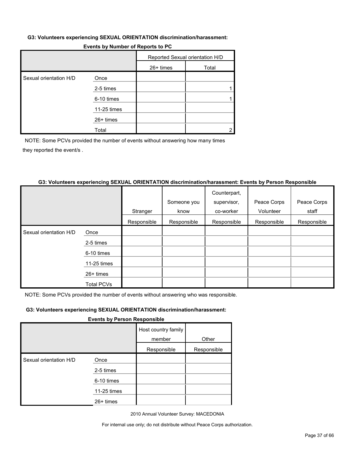#### **G3: Volunteers experiencing SEXUAL ORIENTATION discrimination/harassment:**

| Events by Number of Reports to PC |  |
|-----------------------------------|--|
|-----------------------------------|--|

|                        |             | Reported Sexual orientation H/D |       |
|------------------------|-------------|---------------------------------|-------|
|                        |             | 26+ times                       | Total |
| Sexual orientation H/D | Once        |                                 |       |
|                        | 2-5 times   |                                 |       |
|                        | 6-10 times  |                                 |       |
|                        | 11-25 times |                                 |       |
|                        | 26+ times   |                                 |       |
|                        | Total       |                                 |       |

NOTE: Some PCVs provided the number of events without answering how many times they reported the event/s .

#### **G3: Volunteers experiencing SEXUAL ORIENTATION discrimination/harassment: Events by Person Responsible**

|                        |                   |             |             | Counterpart, |             |             |
|------------------------|-------------------|-------------|-------------|--------------|-------------|-------------|
|                        |                   |             | Someone you | supervisor,  | Peace Corps | Peace Corps |
|                        |                   | Stranger    | know        | co-worker    | Volunteer   | staff       |
|                        |                   | Responsible | Responsible | Responsible  | Responsible | Responsible |
| Sexual orientation H/D | Once              |             |             |              |             |             |
|                        | 2-5 times         |             |             |              |             |             |
|                        | 6-10 times        |             |             |              |             |             |
|                        | 11-25 times       |             |             |              |             |             |
|                        | $26+$ times       |             |             |              |             |             |
|                        | <b>Total PCVs</b> |             |             |              |             |             |

NOTE: Some PCVs provided the number of events without answering who was responsible.

#### **G3: Volunteers experiencing SEXUAL ORIENTATION discrimination/harassment:**

#### **Events by Person Responsible**

|                        |             | Host country family<br>member | Other       |  |  |
|------------------------|-------------|-------------------------------|-------------|--|--|
|                        |             | Responsible                   | Responsible |  |  |
| Sexual orientation H/D | Once        |                               |             |  |  |
|                        | 2-5 times   |                               |             |  |  |
|                        | 6-10 times  |                               |             |  |  |
|                        | 11-25 times |                               |             |  |  |
|                        | $26+$ times |                               |             |  |  |

2010 Annual Volunteer Survey: MACEDONIA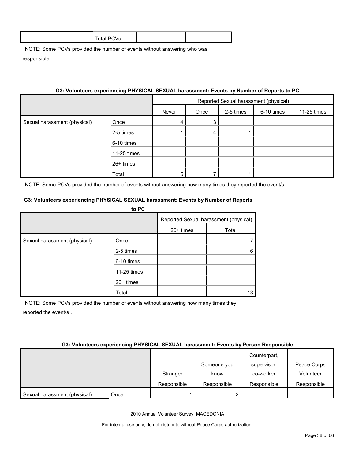|                              | 33: VOIUNteers experiencing PHTSICAL SEXUAL narassment: Events by Number of Reports to PC |                                       |      |           |            |             |
|------------------------------|-------------------------------------------------------------------------------------------|---------------------------------------|------|-----------|------------|-------------|
|                              |                                                                                           | Reported Sexual harassment (physical) |      |           |            |             |
|                              |                                                                                           | Never                                 | Once | 2-5 times | 6-10 times | 11-25 times |
| Sexual harassment (physical) | Once                                                                                      | 4                                     | 3    |           |            |             |
|                              | 2-5 times                                                                                 |                                       | 4    |           |            |             |
|                              | 6-10 times                                                                                |                                       |      |           |            |             |
|                              | 11-25 times                                                                               |                                       |      |           |            |             |
|                              | 26+ times                                                                                 |                                       |      |           |            |             |
|                              | Total                                                                                     | 5                                     |      |           |            |             |

## **G3: Volunteers experiencing PHYSICAL SEXUAL harassment: Events by Number of Reports to PC**

NOTE: Some PCVs provided the number of events without answering how many times they reported the event/s .

#### **G3: Volunteers experiencing PHYSICAL SEXUAL harassment: Events by Number of Reports**

|                              | to PC       |                                       |       |
|------------------------------|-------------|---------------------------------------|-------|
|                              |             | Reported Sexual harassment (physical) |       |
|                              |             | $26+$ times                           | Total |
| Sexual harassment (physical) | Once        |                                       |       |
|                              | 2-5 times   |                                       | 6     |
|                              | 6-10 times  |                                       |       |
|                              | 11-25 times |                                       |       |
|                              | $26+$ times |                                       |       |
|                              | Total       |                                       | 13    |

NOTE: Some PCVs provided the number of events without answering how many times they reported the event/s .

|  | G3: Volunteers experiencing PHYSICAL SEXUAL harassment: Events by Person Responsible |  |
|--|--------------------------------------------------------------------------------------|--|
|  |                                                                                      |  |

|                                      | Stranger    | Someone you<br>know | Counterpart,<br>supervisor,<br>co-worker | Peace Corps<br>Volunteer |
|--------------------------------------|-------------|---------------------|------------------------------------------|--------------------------|
|                                      |             |                     |                                          |                          |
|                                      | Responsible | Responsible         | Responsible                              | Responsible              |
| Sexual harassment (physical)<br>Once |             |                     |                                          |                          |

2010 Annual Volunteer Survey: MACEDONIA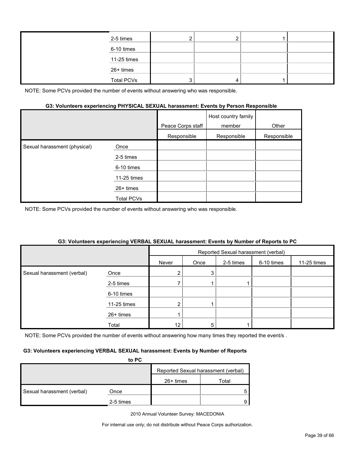| 2-5 times         |  |  |
|-------------------|--|--|
| 6-10 times        |  |  |
| 11-25 times       |  |  |
| 26+ times         |  |  |
| <b>Total PCVs</b> |  |  |

#### **G3: Volunteers experiencing PHYSICAL SEXUAL harassment: Events by Person Responsible**

|                              |                   | Peace Corps staff | Host country family<br>member | Other       |
|------------------------------|-------------------|-------------------|-------------------------------|-------------|
|                              |                   | Responsible       | Responsible                   | Responsible |
| Sexual harassment (physical) | Once              |                   |                               |             |
|                              | 2-5 times         |                   |                               |             |
|                              | 6-10 times        |                   |                               |             |
|                              | 11-25 times       |                   |                               |             |
|                              | $26+$ times       |                   |                               |             |
|                              | <b>Total PCVs</b> |                   |                               |             |

NOTE: Some PCVs provided the number of events without answering who was responsible.

#### **G3: Volunteers experiencing VERBAL SEXUAL harassment: Events by Number of Reports to PC**

|                            |             | Reported Sexual harassment (verbal) |      |           |            |             |
|----------------------------|-------------|-------------------------------------|------|-----------|------------|-------------|
|                            |             | Never                               | Once | 2-5 times | 6-10 times | 11-25 times |
| Sexual harassment (verbal) | Once        |                                     | 3    |           |            |             |
|                            | 2-5 times   |                                     |      |           |            |             |
|                            | 6-10 times  |                                     |      |           |            |             |
|                            | 11-25 times | $\overline{2}$                      |      |           |            |             |
|                            | 26+ times   |                                     |      |           |            |             |
|                            | Total       | 12                                  | 5    |           |            |             |

NOTE: Some PCVs provided the number of events without answering how many times they reported the event/s .

#### **G3: Volunteers experiencing VERBAL SEXUAL harassment: Events by Number of Reports**

|                            | to PC     |                                     |       |
|----------------------------|-----------|-------------------------------------|-------|
|                            |           | Reported Sexual harassment (verbal) |       |
|                            |           | $26+$ times                         | Total |
| Sexual harassment (verbal) | Once      |                                     |       |
|                            | 2-5 times |                                     |       |

2010 Annual Volunteer Survey: MACEDONIA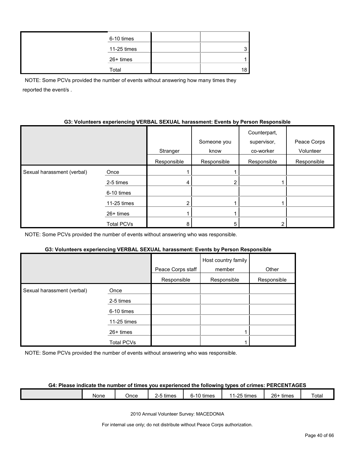| 6-10 times  |    |
|-------------|----|
| 11-25 times | ◠  |
| 26+ times   |    |
| Total       | 18 |

NOTE: Some PCVs provided the number of events without answering how many times they reported the event/s .

#### **G3: Volunteers experiencing VERBAL SEXUAL harassment: Events by Person Responsible**

|                            |                   | Stranger    | Someone you<br>know | Counterpart,<br>supervisor,<br>co-worker | Peace Corps<br>Volunteer |
|----------------------------|-------------------|-------------|---------------------|------------------------------------------|--------------------------|
|                            |                   | Responsible | Responsible         | Responsible                              | Responsible              |
| Sexual harassment (verbal) | Once              |             |                     |                                          |                          |
|                            | 2-5 times         | 4           |                     |                                          |                          |
|                            | 6-10 times        |             |                     |                                          |                          |
|                            | 11-25 times       |             |                     |                                          |                          |
|                            | 26+ times         |             |                     |                                          |                          |
|                            | <b>Total PCVs</b> | 8           | 5                   | ົ                                        |                          |

NOTE: Some PCVs provided the number of events without answering who was responsible.

#### **G3: Volunteers experiencing VERBAL SEXUAL harassment: Events by Person Responsible**

|                            |                   | Peace Corps staff | Host country family<br>member | Other       |
|----------------------------|-------------------|-------------------|-------------------------------|-------------|
|                            |                   | Responsible       | Responsible                   | Responsible |
| Sexual harassment (verbal) | Once              |                   |                               |             |
|                            | 2-5 times         |                   |                               |             |
|                            | 6-10 times        |                   |                               |             |
|                            | 11-25 times       |                   |                               |             |
|                            | 26+ times         |                   |                               |             |
|                            | <b>Total PCVs</b> |                   |                               |             |

NOTE: Some PCVs provided the number of events without answering who was responsible.

#### **G4: Please indicate the number of times you experienced the following types of crimes: PERCENTAGES**

|  |  | None | Once | .<br>times | $\cdots$<br>times<br>. ו - י | ⊥-25 tiri<br>times<br>∼ | $26 -$<br>times | otal |
|--|--|------|------|------------|------------------------------|-------------------------|-----------------|------|
|--|--|------|------|------------|------------------------------|-------------------------|-----------------|------|

2010 Annual Volunteer Survey: MACEDONIA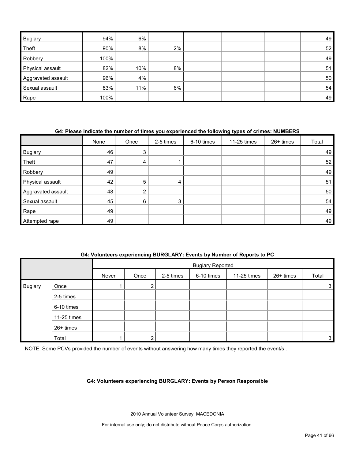| <b>Buglary</b>     | 94%  | 6%  |       |  | 49 |
|--------------------|------|-----|-------|--|----|
| Theft              | 90%  | 8%  | $2\%$ |  | 52 |
| Robbery            | 100% |     |       |  | 49 |
| Physical assault   | 82%  | 10% | 8%    |  | 51 |
| Aggravated assault | 96%  | 4%  |       |  | 50 |
| Sexual assault     | 83%  | 11% | 6%    |  | 54 |
| Rape               | 100% |     |       |  | 49 |

#### **G4: Please indicate the number of times you experienced the following types of crimes: NUMBERS**

|                    | None | Once | 2-5 times | 6-10 times | 11-25 times | 26+ times | Total           |
|--------------------|------|------|-----------|------------|-------------|-----------|-----------------|
| <b>Buglary</b>     | 46   | 3    |           |            |             |           | 49              |
| Theft              | 47   | 4    |           |            |             |           | 52 <sub>1</sub> |
| Robbery            | 49   |      |           |            |             |           | 49              |
| Physical assault   | 42   | 5    | 4         |            |             |           | 51              |
| Aggravated assault | 48   | 2    |           |            |             |           | 50              |
| Sexual assault     | 45   | 6    | 3         |            |             |           | 54              |
| Rape               | 49   |      |           |            |             |           | 49              |
| Attempted rape     | 49   |      |           |            |             |           | 49              |

#### **G4: Volunteers experiencing BURGLARY: Events by Number of Reports to PC**

|                |             |       |        |           | <b>Buglary Reported</b> |             |           |       |
|----------------|-------------|-------|--------|-----------|-------------------------|-------------|-----------|-------|
|                |             | Never | Once   | 2-5 times | 6-10 times              | 11-25 times | 26+ times | Total |
| <b>Buglary</b> | Once        |       | ົ<br>ے |           |                         |             |           | 3     |
|                | 2-5 times   |       |        |           |                         |             |           |       |
|                | 6-10 times  |       |        |           |                         |             |           |       |
|                | 11-25 times |       |        |           |                         |             |           |       |
|                | 26+ times   |       |        |           |                         |             |           |       |
|                | Total       |       | ົ      |           |                         |             |           | 3     |

NOTE: Some PCVs provided the number of events without answering how many times they reported the event/s.

#### **G4: Volunteers experiencing BURGLARY: Events by Person Responsible**

2010 Annual Volunteer Survey: MACEDONIA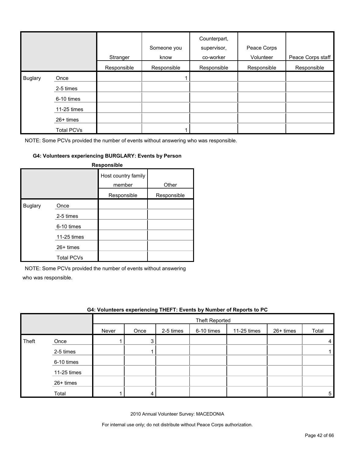|                |                   | Stranger    | Someone you<br>know | Counterpart,<br>supervisor,<br>co-worker | Peace Corps<br>Volunteer | Peace Corps staff |
|----------------|-------------------|-------------|---------------------|------------------------------------------|--------------------------|-------------------|
|                |                   | Responsible | Responsible         | Responsible                              | Responsible              | Responsible       |
| <b>Buglary</b> | Once              |             |                     |                                          |                          |                   |
|                | 2-5 times         |             |                     |                                          |                          |                   |
|                | 6-10 times        |             |                     |                                          |                          |                   |
|                | 11-25 times       |             |                     |                                          |                          |                   |
|                | 26+ times         |             |                     |                                          |                          |                   |
|                | <b>Total PCVs</b> |             |                     |                                          |                          |                   |

#### **G4: Volunteers experiencing BURGLARY: Events by Person**

| Responsible    |                   |                               |             |  |  |  |  |  |
|----------------|-------------------|-------------------------------|-------------|--|--|--|--|--|
|                |                   | Host country family<br>member | Other       |  |  |  |  |  |
|                |                   | Responsible                   | Responsible |  |  |  |  |  |
| <b>Buglary</b> | Once              |                               |             |  |  |  |  |  |
|                | 2-5 times         |                               |             |  |  |  |  |  |
|                | 6-10 times        |                               |             |  |  |  |  |  |
|                | 11-25 times       |                               |             |  |  |  |  |  |
|                | $26+$ times       |                               |             |  |  |  |  |  |
|                | <b>Total PCVs</b> |                               |             |  |  |  |  |  |

NOTE: Some PCVs provided the number of events without answering

who was responsible.

|       | G4: Volunteers experiencing THEFT: Events by Number of Reports to PC |       |                       |           |            |             |           |       |  |  |
|-------|----------------------------------------------------------------------|-------|-----------------------|-----------|------------|-------------|-----------|-------|--|--|
|       |                                                                      |       | <b>Theft Reported</b> |           |            |             |           |       |  |  |
|       |                                                                      | Never | Once                  | 2-5 times | 6-10 times | 11-25 times | 26+ times | Total |  |  |
| Theft | Once                                                                 |       |                       |           |            |             |           | 4     |  |  |
|       | 2-5 times                                                            |       |                       |           |            |             |           |       |  |  |
|       | 6-10 times                                                           |       |                       |           |            |             |           |       |  |  |
|       | 11-25 times                                                          |       |                       |           |            |             |           |       |  |  |
|       | $26+$ times                                                          |       |                       |           |            |             |           |       |  |  |
|       | Total                                                                |       |                       |           |            |             |           | 5.    |  |  |

2010 Annual Volunteer Survey: MACEDONIA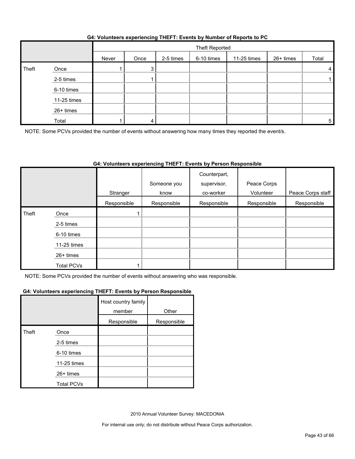#### **G4: Volunteers experiencing THEFT: Events by Number of Reports to PC**

|       |             |       | Theft Reported |           |            |             |           |       |
|-------|-------------|-------|----------------|-----------|------------|-------------|-----------|-------|
|       |             | Never | Once           | 2-5 times | 6-10 times | 11-25 times | 26+ times | Total |
| Theft | Once        |       | 3              |           |            |             |           | 4     |
|       | 2-5 times   |       |                |           |            |             |           |       |
|       | 6-10 times  |       |                |           |            |             |           |       |
|       | 11-25 times |       |                |           |            |             |           |       |
|       | 26+ times   |       |                |           |            |             |           |       |
|       | Total       |       |                |           |            |             |           | 5     |

NOTE: Some PCVs provided the number of events without answering how many times they reported the event/s.

#### **G4: Volunteers experiencing THEFT: Events by Person Responsible**

|       |                   | Stranger    | Someone you<br>know | Counterpart,<br>supervisor,<br>co-worker | Peace Corps<br>Volunteer | Peace Corps staff |
|-------|-------------------|-------------|---------------------|------------------------------------------|--------------------------|-------------------|
|       |                   | Responsible | Responsible         | Responsible                              | Responsible              | Responsible       |
| Theft | Once              |             |                     |                                          |                          |                   |
|       | 2-5 times         |             |                     |                                          |                          |                   |
|       | 6-10 times        |             |                     |                                          |                          |                   |
|       | 11-25 times       |             |                     |                                          |                          |                   |
|       | 26+ times         |             |                     |                                          |                          |                   |
|       | <b>Total PCVs</b> |             |                     |                                          |                          |                   |

NOTE: Some PCVs provided the number of events without answering who was responsible.

#### **G4: Volunteers experiencing THEFT: Events by Person Responsible**

|       |                   | Host country family<br>member | Other       |
|-------|-------------------|-------------------------------|-------------|
|       |                   | Responsible                   | Responsible |
| Theft | Once              |                               |             |
|       | 2-5 times         |                               |             |
|       | 6-10 times        |                               |             |
|       | 11-25 times       |                               |             |
|       | $26+$ times       |                               |             |
|       | <b>Total PCVs</b> |                               |             |

2010 Annual Volunteer Survey: MACEDONIA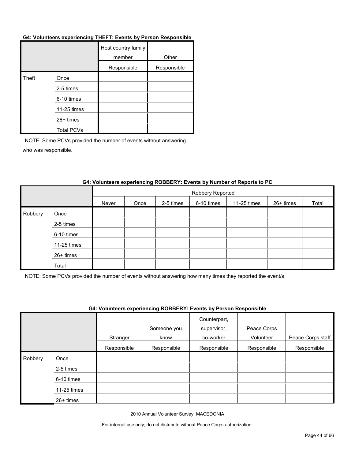#### **G4: Volunteers experiencing THEFT: Events by Person Responsible**

|       |                   | Host country family<br>member | Other       |
|-------|-------------------|-------------------------------|-------------|
|       |                   | Responsible                   | Responsible |
| Theft | Once              |                               |             |
|       | 2-5 times         |                               |             |
|       | 6-10 times        |                               |             |
|       | 11-25 times       |                               |             |
|       | 26+ times         |                               |             |
|       | <b>Total PCVs</b> |                               |             |

NOTE: Some PCVs provided the number of events without answering who was responsible.

|         |             |       | Robbery Reported |           |            |             |           |       |  |
|---------|-------------|-------|------------------|-----------|------------|-------------|-----------|-------|--|
|         |             | Never | Once             | 2-5 times | 6-10 times | 11-25 times | 26+ times | Total |  |
| Robbery | Once        |       |                  |           |            |             |           |       |  |
|         | 2-5 times   |       |                  |           |            |             |           |       |  |
|         | 6-10 times  |       |                  |           |            |             |           |       |  |
|         | 11-25 times |       |                  |           |            |             |           |       |  |
|         | 26+ times   |       |                  |           |            |             |           |       |  |
|         | Total       |       |                  |           |            |             |           |       |  |

#### **G4: Volunteers experiencing ROBBERY: Events by Number of Reports to PC**

NOTE: Some PCVs provided the number of events without answering how many times they reported the event/s.

#### **G4: Volunteers experiencing ROBBERY: Events by Person Responsible**

|         |             | Stranger    | Someone you<br>know | Counterpart,<br>supervisor,<br>co-worker | Peace Corps<br>Volunteer | Peace Corps staff |
|---------|-------------|-------------|---------------------|------------------------------------------|--------------------------|-------------------|
|         |             | Responsible | Responsible         | Responsible                              | Responsible              | Responsible       |
| Robbery | Once        |             |                     |                                          |                          |                   |
|         | 2-5 times   |             |                     |                                          |                          |                   |
|         | 6-10 times  |             |                     |                                          |                          |                   |
|         | 11-25 times |             |                     |                                          |                          |                   |
|         | $26+$ times |             |                     |                                          |                          |                   |

2010 Annual Volunteer Survey: MACEDONIA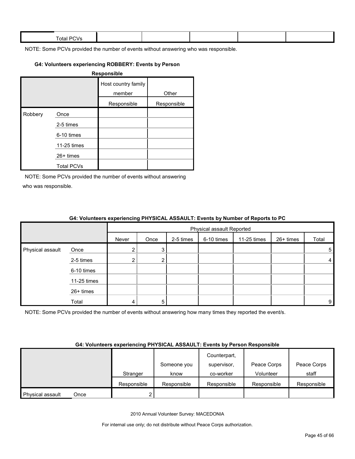| $ -$<br><b>Total PL</b><br>$\mathbf{v}$ |  |  |  |
|-----------------------------------------|--|--|--|
|                                         |  |  |  |

#### **G4: Volunteers experiencing ROBBERY: Events by Person**

|         |                   | Responsible                   |             |
|---------|-------------------|-------------------------------|-------------|
|         |                   | Host country family<br>member | Other       |
|         |                   | Responsible                   | Responsible |
| Robbery | Once              |                               |             |
|         | 2-5 times         |                               |             |
|         | 6-10 times        |                               |             |
|         | 11-25 times       |                               |             |
|         | $26+$ times       |                               |             |
|         | <b>Total PCVs</b> |                               |             |

NOTE: Some PCVs provided the number of events without answering who was responsible.

|                  |             | $\bullet$ in relative to experient and in the set of $\bullet$ is the set of $\bullet$ in the set of the set of $\bullet$ |                           |           |            |             |           |                |
|------------------|-------------|---------------------------------------------------------------------------------------------------------------------------|---------------------------|-----------|------------|-------------|-----------|----------------|
|                  |             |                                                                                                                           | Physical assault Reported |           |            |             |           |                |
|                  |             | Never                                                                                                                     | Once                      | 2-5 times | 6-10 times | 11-25 times | 26+ times | Total          |
| Physical assault | Once        |                                                                                                                           | 3                         |           |            |             |           | 5 <sub>1</sub> |
|                  | 2-5 times   |                                                                                                                           | $\mathbf{2}^{\circ}$      |           |            |             |           | 4              |
|                  | 6-10 times  |                                                                                                                           |                           |           |            |             |           |                |
|                  | 11-25 times |                                                                                                                           |                           |           |            |             |           |                |
|                  | 26+ times   |                                                                                                                           |                           |           |            |             |           |                |
|                  | Total       |                                                                                                                           | 5                         |           |            |             |           | 9              |

#### **G4: Volunteers experiencing PHYSICAL ASSAULT: Events by Number of Reports to PC**

NOTE: Some PCVs provided the number of events without answering how many times they reported the event/s.

#### **G4: Volunteers experiencing PHYSICAL ASSAULT: Events by Person Responsible**

|                  |      |             |             | Counterpart, |             |             |
|------------------|------|-------------|-------------|--------------|-------------|-------------|
|                  |      |             | Someone you | supervisor,  | Peace Corps | Peace Corps |
|                  |      | Stranger    | know        | co-worker    | Volunteer   | staff       |
|                  |      | Responsible | Responsible | Responsible  | Responsible | Responsible |
| Physical assault | Once |             |             |              |             |             |

2010 Annual Volunteer Survey: MACEDONIA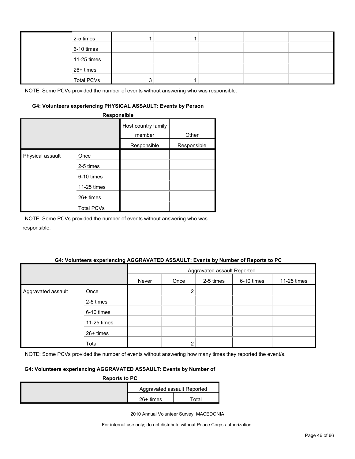|  | 2-5 times         |  |  |  |
|--|-------------------|--|--|--|
|  | 6-10 times        |  |  |  |
|  | 11-25 times       |  |  |  |
|  | 26+ times         |  |  |  |
|  | <b>Total PCVs</b> |  |  |  |

#### **G4: Volunteers experiencing PHYSICAL ASSAULT: Events by Person**

|                  | Responsible       |                               |             |
|------------------|-------------------|-------------------------------|-------------|
|                  |                   | Host country family<br>member | Other       |
|                  |                   | Responsible                   | Responsible |
| Physical assault | Once              |                               |             |
|                  | 2-5 times         |                               |             |
|                  | 6-10 times        |                               |             |
|                  | 11-25 times       |                               |             |
|                  | 26+ times         |                               |             |
|                  | <b>Total PCVs</b> |                               |             |

NOTE: Some PCVs provided the number of events without answering who was responsible.

#### **G4: Volunteers experiencing AGGRAVATED ASSAULT: Events by Number of Reports to PC**

|                    |             | Aggravated assault Reported |      |           |            |             |
|--------------------|-------------|-----------------------------|------|-----------|------------|-------------|
|                    |             | Never                       | Once | 2-5 times | 6-10 times | 11-25 times |
| Aggravated assault | Once        |                             | っ    |           |            |             |
|                    | 2-5 times   |                             |      |           |            |             |
|                    | 6-10 times  |                             |      |           |            |             |
|                    | 11-25 times |                             |      |           |            |             |
|                    | 26+ times   |                             |      |           |            |             |
|                    | Total       |                             | ◠    |           |            |             |

NOTE: Some PCVs provided the number of events without answering how many times they reported the event/s.

#### **G4: Volunteers experiencing AGGRAVATED ASSAULT: Events by Number of**

| <b>Reports to PC</b> |             |                             |  |  |  |
|----------------------|-------------|-----------------------------|--|--|--|
|                      |             | Aggravated assault Reported |  |  |  |
|                      | $26+$ times | Total                       |  |  |  |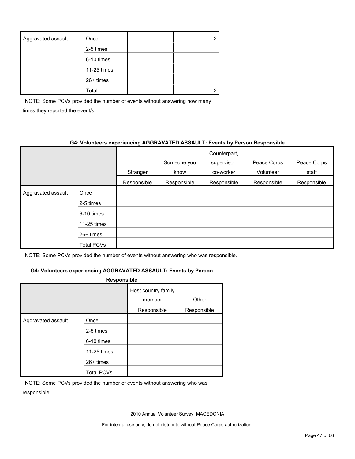| Aggravated assault | Once        |  |
|--------------------|-------------|--|
|                    | 2-5 times   |  |
|                    | 6-10 times  |  |
|                    | 11-25 times |  |
|                    | $26+$ times |  |
|                    | Total       |  |

NOTE: Some PCVs provided the number of events without answering how many times they reported the event/s.

#### **G4: Volunteers experiencing AGGRAVATED ASSAULT: Events by Person Responsible**

|                    |             | Stranger    | Someone you<br>know | Counterpart,<br>supervisor,<br>co-worker | Peace Corps<br>Volunteer | Peace Corps<br>staff |
|--------------------|-------------|-------------|---------------------|------------------------------------------|--------------------------|----------------------|
|                    |             | Responsible | Responsible         | Responsible                              | Responsible              | Responsible          |
| Aggravated assault | Once        |             |                     |                                          |                          |                      |
|                    | 2-5 times   |             |                     |                                          |                          |                      |
|                    | 6-10 times  |             |                     |                                          |                          |                      |
|                    | 11-25 times |             |                     |                                          |                          |                      |
|                    | $26+$ times |             |                     |                                          |                          |                      |
|                    | Total PCVs  |             |                     |                                          |                          |                      |

NOTE: Some PCVs provided the number of events without answering who was responsible.

#### **G4: Volunteers experiencing AGGRAVATED ASSAULT: Events by Person**

| <b>Responsible</b> |                                 |                               |             |  |  |  |
|--------------------|---------------------------------|-------------------------------|-------------|--|--|--|
|                    |                                 | Host country family<br>member | Other       |  |  |  |
|                    |                                 | Responsible                   | Responsible |  |  |  |
| Aggravated assault | Once<br>2-5 times<br>6-10 times |                               |             |  |  |  |
|                    | 11-25 times                     |                               |             |  |  |  |
|                    | $26+$ times                     |                               |             |  |  |  |
|                    | <b>Total PCVs</b>               |                               |             |  |  |  |

NOTE: Some PCVs provided the number of events without answering who was responsible.

2010 Annual Volunteer Survey: MACEDONIA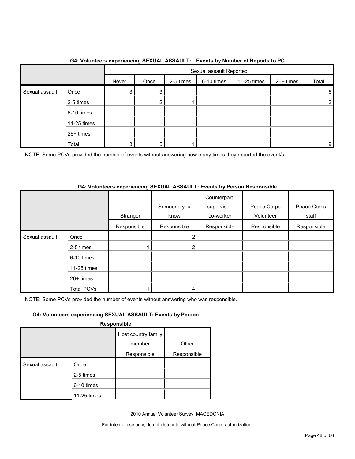|                |             |       | . <b>. .</b><br>Sexual assault Reported |           |            |             |           |       |
|----------------|-------------|-------|-----------------------------------------|-----------|------------|-------------|-----------|-------|
|                |             | Never | Once                                    | 2-5 times | 6-10 times | 11-25 times | 26+ times | Total |
| Sexual assault | Once        | 3     | 3                                       |           |            |             |           | 6     |
|                | 2-5 times   |       | ◠                                       |           |            |             |           | 3     |
|                | 6-10 times  |       |                                         |           |            |             |           |       |
|                | 11-25 times |       |                                         |           |            |             |           |       |
|                | 26+ times   |       |                                         |           |            |             |           |       |
|                | Total       | 3     | 5                                       |           |            |             |           | 9     |

#### **G4: Volunteers experiencing SEXUAL ASSAULT: Events by Number of Reports to PC**

NOTE: Some PCVs provided the number of events without answering how many times they reported the event/s.

#### **G4: Volunteers experiencing SEXUAL ASSAULT: Events by Person Responsible**

|                |                   | Stranger    | Someone you<br>know | Counterpart,<br>supervisor,<br>co-worker | Peace Corps<br>Volunteer | Peace Corps<br>staff |
|----------------|-------------------|-------------|---------------------|------------------------------------------|--------------------------|----------------------|
|                |                   | Responsible | Responsible         | Responsible                              | Responsible              | Responsible          |
| Sexual assault | Once              |             |                     |                                          |                          |                      |
|                | 2-5 times         |             | ົ                   |                                          |                          |                      |
|                | 6-10 times        |             |                     |                                          |                          |                      |
|                | 11-25 times       |             |                     |                                          |                          |                      |
|                | $26+$ times       |             |                     |                                          |                          |                      |
|                | <b>Total PCVs</b> |             |                     |                                          |                          |                      |

NOTE: Some PCVs provided the number of events without answering who was responsible.

#### **G4: Volunteers experiencing SEXUAL ASSAULT: Events by Person**

**Responsible**

|                |             | Host country family |             |
|----------------|-------------|---------------------|-------------|
|                |             | member              | Other       |
|                |             | Responsible         | Responsible |
| Sexual assault | Once        |                     |             |
|                | 2-5 times   |                     |             |
|                | 6-10 times  |                     |             |
|                | 11-25 times |                     |             |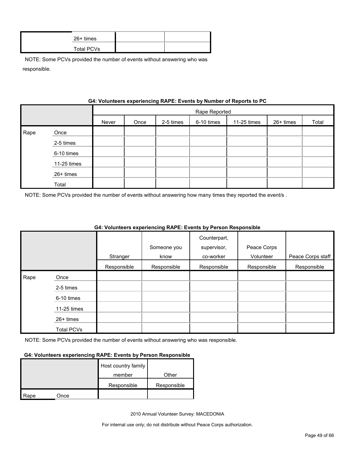| $26+$ times |  |
|-------------|--|
| Total PCVs  |  |

|      | G4: VOIUNTERS EXPERIENCING RAPE: EVENTS by NUMBER OF REPORTS TO PU |       |               |           |            |             |           |       |
|------|--------------------------------------------------------------------|-------|---------------|-----------|------------|-------------|-----------|-------|
|      |                                                                    |       | Rape Reported |           |            |             |           |       |
|      |                                                                    | Never | Once          | 2-5 times | 6-10 times | 11-25 times | 26+ times | Total |
| Rape | Once                                                               |       |               |           |            |             |           |       |
|      | 2-5 times                                                          |       |               |           |            |             |           |       |
|      | 6-10 times                                                         |       |               |           |            |             |           |       |
|      | 11-25 times                                                        |       |               |           |            |             |           |       |
|      | 26+ times                                                          |       |               |           |            |             |           |       |
|      | Total                                                              |       |               |           |            |             |           |       |

### **Gynorianoing PADE: Events by Number of Ban**

NOTE: Some PCVs provided the number of events without answering how many times they reported the event/s .

|      |                   |             |             | Counterpart, |             |                   |
|------|-------------------|-------------|-------------|--------------|-------------|-------------------|
|      |                   |             | Someone you | supervisor,  | Peace Corps |                   |
|      |                   | Stranger    | know        | co-worker    | Volunteer   | Peace Corps staff |
|      |                   | Responsible | Responsible | Responsible  | Responsible | Responsible       |
| Rape | Once              |             |             |              |             |                   |
|      | 2-5 times         |             |             |              |             |                   |
|      | 6-10 times        |             |             |              |             |                   |
|      | 11-25 times       |             |             |              |             |                   |
|      | $26+$ times       |             |             |              |             |                   |
|      | <b>Total PCVs</b> |             |             |              |             |                   |

#### **G4: Volunteers experiencing RAPE: Events by Person Responsible**

NOTE: Some PCVs provided the number of events without answering who was responsible.

#### **G4: Volunteers experiencing RAPE: Events by Person Responsible**

|      |      | Host country family |             |
|------|------|---------------------|-------------|
|      |      | member              | Other       |
|      |      | Responsible         | Responsible |
| Rape | Once |                     |             |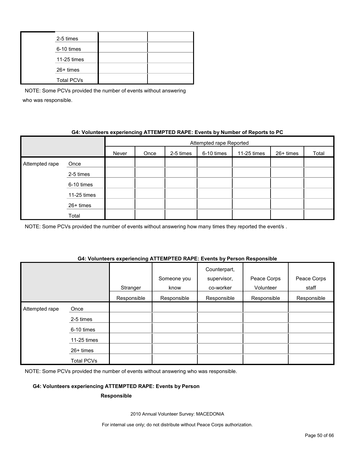| 2-5 times         |  |
|-------------------|--|
| 6-10 times        |  |
| 11-25 times       |  |
| 26+ times         |  |
| <b>Total PCVs</b> |  |

#### **G4: Volunteers experiencing ATTEMPTED RAPE: Events by Number of Reports to PC**

|                |             | Attempted rape Reported |      |           |            |             |           |       |  |
|----------------|-------------|-------------------------|------|-----------|------------|-------------|-----------|-------|--|
|                |             | Never                   | Once | 2-5 times | 6-10 times | 11-25 times | 26+ times | Total |  |
| Attempted rape | Once        |                         |      |           |            |             |           |       |  |
|                | 2-5 times   |                         |      |           |            |             |           |       |  |
|                | 6-10 times  |                         |      |           |            |             |           |       |  |
|                | 11-25 times |                         |      |           |            |             |           |       |  |
|                | 26+ times   |                         |      |           |            |             |           |       |  |
|                | Total       |                         |      |           |            |             |           |       |  |

NOTE: Some PCVs provided the number of events without answering how many times they reported the event/s.

#### **G4: Volunteers experiencing ATTEMPTED RAPE: Events by Person Responsible**

|                |                   | Stranger    | Someone you<br>know | Counterpart,<br>supervisor,<br>co-worker | Peace Corps<br>Volunteer | Peace Corps<br>staff |
|----------------|-------------------|-------------|---------------------|------------------------------------------|--------------------------|----------------------|
|                |                   | Responsible | Responsible         | Responsible                              | Responsible              | Responsible          |
| Attempted rape | Once              |             |                     |                                          |                          |                      |
|                | 2-5 times         |             |                     |                                          |                          |                      |
|                | 6-10 times        |             |                     |                                          |                          |                      |
|                | 11-25 times       |             |                     |                                          |                          |                      |
|                | 26+ times         |             |                     |                                          |                          |                      |
|                | <b>Total PCVs</b> |             |                     |                                          |                          |                      |

NOTE: Some PCVs provided the number of events without answering who was responsible.

#### **G4: Volunteers experiencing ATTEMPTED RAPE: Events by Person**

#### **Responsible**

2010 Annual Volunteer Survey: MACEDONIA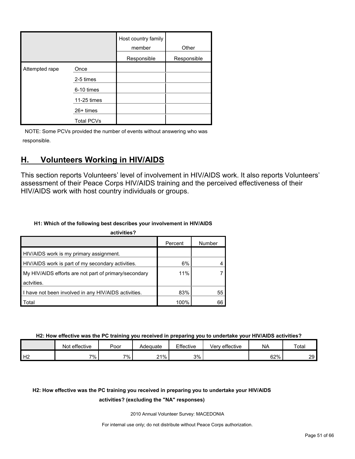|                |                   | Host country family<br>member | Other       |
|----------------|-------------------|-------------------------------|-------------|
|                |                   | Responsible                   | Responsible |
| Attempted rape | Once              |                               |             |
|                | 2-5 times         |                               |             |
|                | 6-10 times        |                               |             |
|                | 11-25 times       |                               |             |
|                | 26+ times         |                               |             |
|                | <b>Total PCVs</b> |                               |             |

### <span id="page-50-0"></span>**H. Volunteers Working in HIV/AIDS**

This section reports Volunteers' level of involvement in HIV/AIDS work. It also reports Volunteers' assessment of their Peace Corps HIV/AIDS training and the perceived effectiveness of their HIV/AIDS work with host country individuals or groups.

#### **H1: Which of the following best describes your involvement in HIV/AIDS**

| activities?                                           |         |        |
|-------------------------------------------------------|---------|--------|
|                                                       | Percent | Number |
| HIV/AIDS work is my primary assignment.               |         |        |
| HIV/AIDS work is part of my secondary activities.     | 6%      |        |
| My HIV/AIDS efforts are not part of primary/secondary | 11%     |        |
| actvities.                                            |         |        |
| I have not been involved in any HIV/AIDS activities.  | 83%     | 55     |
| Total                                                 | 100%    | 66     |

**H2: How effective was the PC training you received in preparing you to undertake your HIV/AIDS activities?**

|    | effective<br>Not | Poor | Adequate | Effective | <br>Very effective | <b>NA</b> | Total |
|----|------------------|------|----------|-----------|--------------------|-----------|-------|
| Н2 | 7%.              | 7%   | 21%      | 3%        |                    | 62%       | 29    |

### **H2: How effective was the PC training you received in preparing you to undertake your HIV/AIDS**

#### **activities? (excluding the "NA" responses)**

2010 Annual Volunteer Survey: MACEDONIA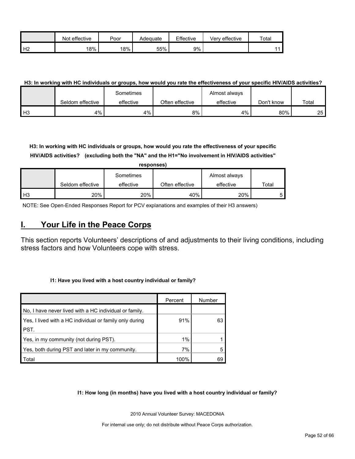|                | effective<br>Not | Poor | Adequate | Effective | Very effective | $\tau$ otar |
|----------------|------------------|------|----------|-----------|----------------|-------------|
| H <sub>2</sub> | 18%              | 18%  | 55%      | 9%        |                |             |

#### **H3: In working with HC individuals or groups, how would you rate the effectiveness of your specific HIV/AIDS activities?**

|               |                  | Sometimes |                 | Almost always |            |                 |
|---------------|------------------|-----------|-----------------|---------------|------------|-----------------|
|               | Seldom effective | effective | Often effective | effective     | Don't know | Total           |
| $\mathsf{H}3$ | 4%               | 4%        | 8%              | 4%            | 80%        | 25 <sub>l</sub> |

**H3: In working with HC individuals or groups, how would you rate the effectiveness of your specific HIV/AIDS activities? (excluding both the "NA" and the H1="No involvement in HIV/AIDS activities"** 

|       |                  | responses) |                 |               |       |
|-------|------------------|------------|-----------------|---------------|-------|
|       |                  | Sometimes  |                 | Almost always |       |
|       | Seldom effective | effective  | Often effective | effective     | Total |
| $H_3$ | 20%              | 20%        | 40%             | 20%           |       |

NOTE: See Open-Ended Responses Report for PCV explanations and examples of their H3 answers)

### <span id="page-51-0"></span>**I. Your Life in the Peace Corps**

This section reports Volunteers' descriptions of and adjustments to their living conditions, including stress factors and how Volunteers cope with stress.

#### **I1: Have you lived with a host country individual or family?**

|                                                         | Percent | Number |
|---------------------------------------------------------|---------|--------|
| No, I have never lived with a HC individual or family.  |         |        |
| Yes, I lived with a HC individual or family only during | 91%     | 63     |
| PST.                                                    |         |        |
| Yes, in my community (not during PST).                  | 1%      |        |
| Yes, both during PST and later in my community.         | 7%      |        |
| Total                                                   | 100%    | 69     |

#### **I1: How long (in months) have you lived with a host country individual or family?**

2010 Annual Volunteer Survey: MACEDONIA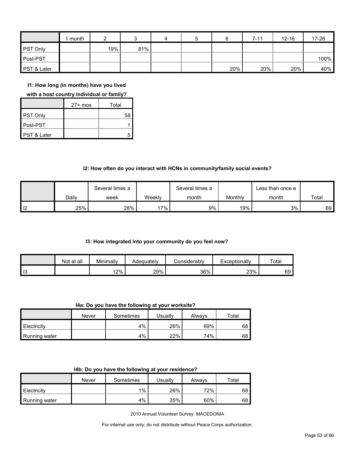|                        | month |     |     | 4 | 5 |     | $7 - 11$ | $12 - 16$ | 17-26 |
|------------------------|-------|-----|-----|---|---|-----|----------|-----------|-------|
| <b>PST Only</b>        |       | 19% | 81% |   |   |     |          |           |       |
| Post-PST               |       |     |     |   |   |     |          |           | 100%  |
| <b>PST &amp; Later</b> |       |     |     |   |   | 20% | 20%      | 20%       | 40%   |

**I1: How long (in months) have you lived** 

#### **with a host country individual or family?**

|             | $27+$ mos | Total |
|-------------|-----------|-------|
| PST Only    |           | 58    |
| Post-PST    |           |       |
| PST & Later |           |       |

#### **I2: How often do you interact with HCNs in community/family social events?**

|                |       | Several times a |        | Several times a |         | Less than once a |       |
|----------------|-------|-----------------|--------|-----------------|---------|------------------|-------|
|                | Daily | week            | Weeklv | month           | Monthly | month            | Total |
| $\overline{2}$ | 25%   | 28%             | $'7\%$ | 9%              | 19%     | 3%               | 69    |

#### **I3: How integrated into your community do you feel now?**

|    | Not at all | Minimally | Adeauatelv | :onsiderablv | Exceptionally | Total |
|----|------------|-----------|------------|--------------|---------------|-------|
| 13 |            | 12%       | 29%        | 36%          | 23%           | 69    |

**I4a: Do you have the following at your worksite?**

|               | Never | Sometimes | Usuallv | Alwavs | Total |
|---------------|-------|-----------|---------|--------|-------|
| Electricity   |       | 4%        | 26%     | 69%    | 68    |
| Running water |       | 4%        | 22%     | 74%    | 68    |

|  |  | 14b: Do you have the following at your residence? |
|--|--|---------------------------------------------------|
|--|--|---------------------------------------------------|

|               | Never | Sometimes | Usuallv | Always | $\tau$ otal |
|---------------|-------|-----------|---------|--------|-------------|
| Electricity   |       | $1\%$     | 26%     | 72%    | 68          |
| Running water |       | 4%        | 35%     | 60%    | 68          |

2010 Annual Volunteer Survey: MACEDONIA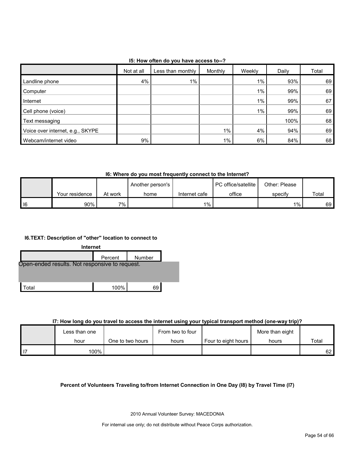#### **I5: How often do you have access to--?**

|                                  | Not at all | Less than monthly | Monthly | Weekly | Daily | Total |
|----------------------------------|------------|-------------------|---------|--------|-------|-------|
| Landline phone                   | 4%         | 1%                |         | $1\%$  | 93%   | 69    |
| Computer                         |            |                   |         | $1\%$  | 99%   | 69    |
| Internet                         |            |                   |         | $1\%$  | 99%   | 67    |
| Cell phone (voice)               |            |                   |         | $1\%$  | 99%   | 69    |
| Text messaging                   |            |                   |         |        | 100%  | 68    |
| Voice over internet, e.g., SKYPE |            |                   | $1\%$   | 4%     | 94%   | 69    |
| Webcam/internet video            | 9%         |                   | $1\%$   | 6%     | 84%   | 68    |

#### **I6: Where do you most frequently connect to the Internet?**

|      |                |         | Another person's |               | <b>PC</b> office/satellite | Other: Please |       |
|------|----------------|---------|------------------|---------------|----------------------------|---------------|-------|
|      | Your residence | At work | home             | Internet cafe | office                     | specify       | Total |
| I 16 | 90%            | 7% .    |                  | $1\%$ .       |                            | 1%            | 69 I  |

#### **I6.TEXT: Description of "other" location to connect to**



#### **I7: How long do you travel to access the internet using your typical transport method (one-way trip)?**

|               |                  | - -              |                     |                 |       |
|---------------|------------------|------------------|---------------------|-----------------|-------|
| Less than one |                  | From two to four |                     | More than eight |       |
| hour          | One to two hours | hours            | Four to eight hours | hours           | Total |
| 100%          |                  |                  |                     |                 | 62    |

#### **Percent of Volunteers Traveling to/from Internet Connection in One Day (I8) by Travel Time (I7)**

2010 Annual Volunteer Survey: MACEDONIA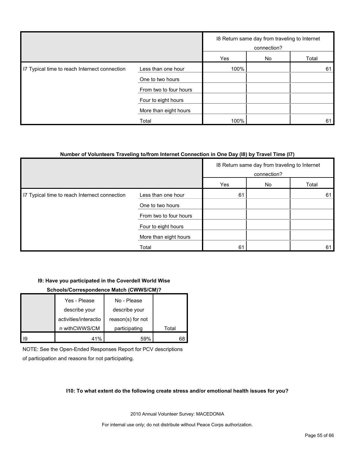|                                               |                        |      | 18 Return same day from traveling to Internet<br>connection? |       |
|-----------------------------------------------|------------------------|------|--------------------------------------------------------------|-------|
|                                               |                        | Yes  | No                                                           | Total |
| 17 Typical time to reach Internect connection | Less than one hour     | 100% |                                                              | 61    |
|                                               | One to two hours       |      |                                                              |       |
|                                               | From two to four hours |      |                                                              |       |
|                                               | Four to eight hours    |      |                                                              |       |
|                                               | More than eight hours  |      |                                                              |       |
|                                               | Total                  | 100% |                                                              | 61    |

#### **Number of Volunteers Traveling to/from Internet Connection in One Day (I8) by Travel Time (I7)**

|                                               |                        | 18 Return same day from traveling to Internet<br>connection? |    |       |
|-----------------------------------------------|------------------------|--------------------------------------------------------------|----|-------|
|                                               |                        | Yes                                                          | No | Total |
| I7 Typical time to reach Internect connection | Less than one hour     | 61                                                           |    | 61    |
|                                               | One to two hours       |                                                              |    |       |
|                                               | From two to four hours |                                                              |    |       |
|                                               | Four to eight hours    |                                                              |    |       |
|                                               | More than eight hours  |                                                              |    |       |
|                                               | Total                  | 61                                                           |    | 61    |

#### **I9: Have you participated in the Coverdell World Wise**

#### **Schools/Correspondence Match (CWWS/CM)?**

|    | Yes - Please          | No - Please       |       |
|----|-----------------------|-------------------|-------|
|    | describe your         | describe your     |       |
|    | activities/interactio | reason(s) for not |       |
|    | n withCWWS/CM         | participating     | Total |
| 19 |                       | 59%               | 68    |

NOTE: See the Open-Ended Responses Report for PCV descriptions of participation and reasons for not participating.

#### **I10: To what extent do the following create stress and/or emotional health issues for you?**

2010 Annual Volunteer Survey: MACEDONIA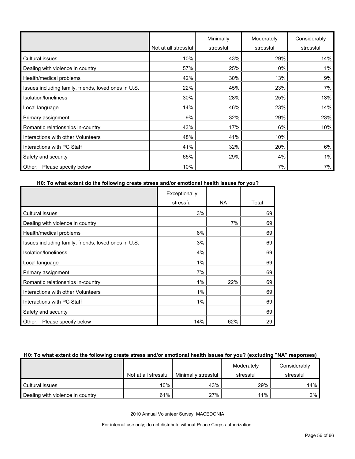|                                                      | Not at all stressful | Minimally<br>stressful | Moderately<br>stressful | Considerably<br>stressful |
|------------------------------------------------------|----------------------|------------------------|-------------------------|---------------------------|
| <b>Cultural issues</b>                               | 10%                  | 43%                    | 29%                     | 14%                       |
| Dealing with violence in country                     | 57%                  | 25%                    | 10%                     | 1%                        |
| Health/medical problems                              | 42%                  | 30%                    | 13%                     | 9%                        |
| Issues including family, friends, loved ones in U.S. | 22%                  | 45%                    | 23%                     | 7%                        |
| Isolation/Ioneliness                                 | 30%                  | 28%                    | 25%                     | 13%                       |
| Local language                                       | 14%                  | 46%                    | 23%                     | 14%                       |
| Primary assignment                                   | 9%                   | 32%                    | 29%                     | 23%                       |
| Romantic relationships in-country                    | 43%                  | 17%                    | 6%                      | 10%                       |
| Interactions with other Volunteers                   | 48%                  | 41%                    | 10%                     |                           |
| Interactions with PC Staff                           | 41%                  | 32%                    | 20%                     | 6%                        |
| Safety and security                                  | 65%                  | 29%                    | 4%                      | 1%                        |
| Please specify below<br>Other:                       | 10%                  |                        | 7%                      | 7%                        |

#### **I10: To what extent do the following create stress and/or emotional health issues for you?**

|                                                      | Exceptionally |     |       |
|------------------------------------------------------|---------------|-----|-------|
|                                                      | stressful     | NA. | Total |
| Cultural issues                                      | 3%            |     | 69    |
| Dealing with violence in country                     |               | 7%  | 69    |
| Health/medical problems                              | 6%            |     | 69    |
| Issues including family, friends, loved ones in U.S. | 3%            |     | 69    |
| Isolation/loneliness                                 | 4%            |     | 69    |
| Local language                                       | 1%            |     | 69    |
| Primary assignment                                   | 7%            |     | 69    |
| Romantic relationships in-country                    | 1%            | 22% | 69    |
| Interactions with other Volunteers                   | 1%            |     | 69    |
| Interactions with PC Staff                           | 1%            |     | 69    |
| Safety and security                                  |               |     | 69    |
| Please specify below<br>Other:                       | 14%           | 62% | 29    |

#### **I10: To what extent do the following create stress and/or emotional health issues for you? (excluding "NA" responses)**

|                                  |                      |                     | Moderately | Considerably |
|----------------------------------|----------------------|---------------------|------------|--------------|
|                                  | Not at all stressful | Minimally stressful | stressful  | stressful    |
| Cultural issues                  | 10%                  | 43%                 | 29%        | 14%          |
| Dealing with violence in country | 61%                  | 27%                 | 11%        | 2%           |

2010 Annual Volunteer Survey: MACEDONIA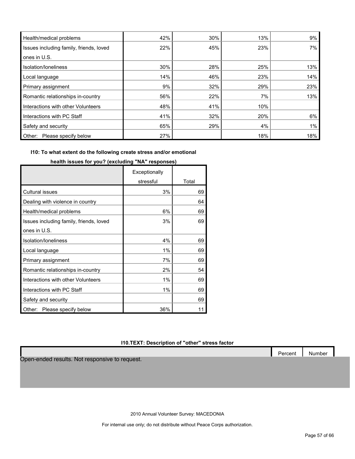| Health/medical problems                 | 42% | 30% | 13% | 9%  |
|-----------------------------------------|-----|-----|-----|-----|
| Issues including family, friends, loved | 22% | 45% | 23% | 7%  |
| ones in U.S.                            |     |     |     |     |
| Isolation/Ioneliness                    | 30% | 28% | 25% | 13% |
| Local language                          | 14% | 46% | 23% | 14% |
| Primary assignment                      | 9%  | 32% | 29% | 23% |
| Romantic relationships in-country       | 56% | 22% | 7%  | 13% |
| Interactions with other Volunteers      | 48% | 41% | 10% |     |
| Interactions with PC Staff              | 41% | 32% | 20% | 6%  |
| Safety and security                     | 65% | 29% | 4%  | 1%  |
| Please specify below<br>Other:          | 27% |     | 18% | 18% |

#### **I10: To what extent do the following create stress and/or emotional**

|                                         | Exceptionally |       |
|-----------------------------------------|---------------|-------|
|                                         | stressful     | Total |
| <b>Cultural issues</b>                  | 3%            | 69    |
| Dealing with violence in country        |               | 64    |
| Health/medical problems                 | 6%            | 69    |
| Issues including family, friends, loved | 3%            | 69    |
| ones in U.S.                            |               |       |
| Isolation/loneliness                    | 4%            | 69    |
| Local language                          | 1%            | 69    |
| Primary assignment                      | 7%            | 69    |
| Romantic relationships in-country       | 2%            | 54    |
| Interactions with other Volunteers      | 1%            | 69    |
| Interactions with PC Staff              | 1%            | 69    |
| Safety and security                     |               | 69    |
| Please specify below<br>Other:          | 36%           | 11    |

**health issues for you? (excluding "NA" responses)**

#### **I10.TEXT: Description of "other" stress factor**

Open-ended results. Not responsive to request.

2010 Annual Volunteer Survey: MACEDONIA

For internal use only; do not distribute without Peace Corps authorization.

Percent Number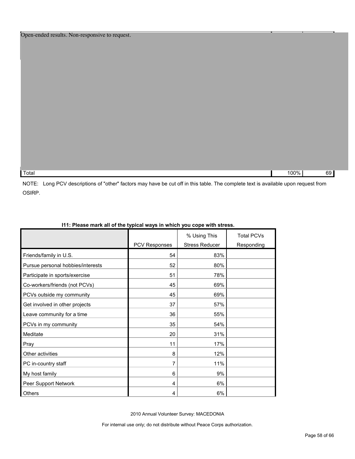Total 100% 69

NOTE: Long PCV descriptions of "other" factors may have be cut off in this table. The complete text is available upon request from OSIRP.

| TTI. Ficase mark all OFthe typical ways in which you cope with stress. |                      |                                       |                                 |  |  |
|------------------------------------------------------------------------|----------------------|---------------------------------------|---------------------------------|--|--|
|                                                                        | <b>PCV Responses</b> | % Using This<br><b>Stress Reducer</b> | <b>Total PCVs</b><br>Responding |  |  |
| Friends/family in U.S.                                                 | 54                   | 83%                                   |                                 |  |  |
| Pursue personal hobbies/interests                                      | 52                   | 80%                                   |                                 |  |  |
| Participate in sports/exercise                                         | 51                   | 78%                                   |                                 |  |  |
| Co-workers/friends (not PCVs)                                          | 45                   | 69%                                   |                                 |  |  |
| PCVs outside my community                                              | 45                   | 69%                                   |                                 |  |  |
| Get involved in other projects                                         | 37                   | 57%                                   |                                 |  |  |
| Leave community for a time                                             | 36                   | 55%                                   |                                 |  |  |
| PCVs in my community                                                   | 35                   | 54%                                   |                                 |  |  |
| Meditate                                                               | 20                   | 31%                                   |                                 |  |  |
| Pray                                                                   | 11                   | 17%                                   |                                 |  |  |
| Other activities                                                       | 8                    | 12%                                   |                                 |  |  |
| PC in-country staff                                                    | 7                    | 11%                                   |                                 |  |  |
| My host family                                                         | 6                    | 9%                                    |                                 |  |  |
| Peer Support Network                                                   | 4                    | 6%                                    |                                 |  |  |
| Others                                                                 | 4                    | 6%                                    |                                 |  |  |

#### **I11: Please mark all of the typical ways in which you cope with stress.**

2010 Annual Volunteer Survey: MACEDONIA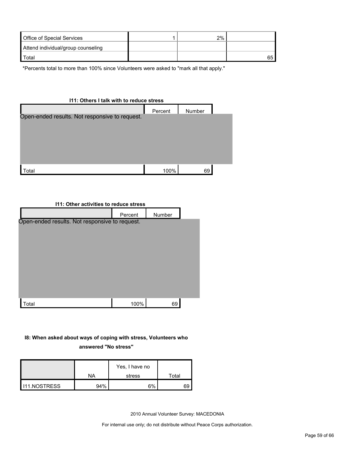| Office of Special Services         | 2% |    |
|------------------------------------|----|----|
| Attend individual/group counseling |    |    |
| Total                              |    | 65 |

\*Percents total to more than 100% since Volunteers were asked to "mark all that apply."

# **I11: Others I talk with to reduce stress** Percent Number Total 100% 69 Open-ended results. Not responsive to request.

#### **I11: Other activities to reduce stress**

|                                                | Percent | Number |  |
|------------------------------------------------|---------|--------|--|
| Open-ended results. Not responsive to request. |         |        |  |
|                                                |         |        |  |
|                                                |         |        |  |
|                                                |         |        |  |
|                                                |         |        |  |
|                                                |         |        |  |
|                                                |         |        |  |
|                                                |         |        |  |
| Total                                          | 100%    | 69     |  |

### **I8: When asked about ways of coping with stress, Volunteers who answered "No stress"**

|                     | NA  | Yes, I have no<br>stress | Total |
|---------------------|-----|--------------------------|-------|
|                     |     |                          |       |
| <b>I11.NOSTRESS</b> | 94% | 6%                       | 69    |

2010 Annual Volunteer Survey: MACEDONIA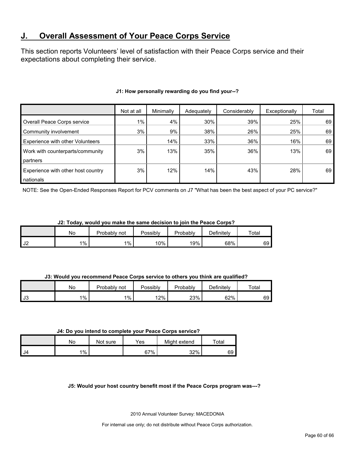### <span id="page-59-0"></span>**J. Overall Assessment of Your Peace Corps Service**

This section reports Volunteers' level of satisfaction with their Peace Corps service and their expectations about completing their service.

|                                    | Not at all | Minimally | Adequately | Considerably | Exceptionally | Total |
|------------------------------------|------------|-----------|------------|--------------|---------------|-------|
| Overall Peace Corps service        | $1\%$      | 4%        | 30%        | 39%          | 25%           | 69    |
| Community involvement              | 3%         | 9%        | 38%        | 26%          | 25%           | 69    |
| Experience with other Volunteers   |            | 14%       | 33%        | 36%          | 16%           | 69    |
| Work with counterparts/community   | 3%         | 13%       | 35%        | 36%          | 13%           | 69    |
| partners                           |            |           |            |              |               |       |
| Experience with other host country | 3%         | 12%       | 14%        | 43%          | 28%           | 69    |
| nationals                          |            |           |            |              |               |       |

#### **J1: How personally rewarding do you find your--?**

NOTE: See the Open-Ended Responses Report for PCV comments on J7 "What has been the best aspect of your PC service?"

#### **J2: Today, would you make the same decision to join the Peace Corps?**

|      | No    | Probably<br>not | Possibly | Probably | Definitelv | Total |
|------|-------|-----------------|----------|----------|------------|-------|
| l J2 | $1\%$ | $1\%$           | 10%      | 19%      | 68%        | 69    |

#### **J3: Would you recommend Peace Corps service to others you think are qualified?**

|      | Nο    | Probably not | Possibly | Probably | Definitely | Total |
|------|-------|--------------|----------|----------|------------|-------|
| l J3 | $1\%$ | 1%           | 12%      | 23%      | 62%        | 69    |

#### **J4: Do you intend to complete your Peace Corps service?**

|      | No    | Not sure | Yes | Might extend | $\tau$ otal |
|------|-------|----------|-----|--------------|-------------|
| - J4 | $1\%$ |          | 67% | 32%          | 69          |

#### **J5: Would your host country benefit most if the Peace Corps program was---?**

2010 Annual Volunteer Survey: MACEDONIA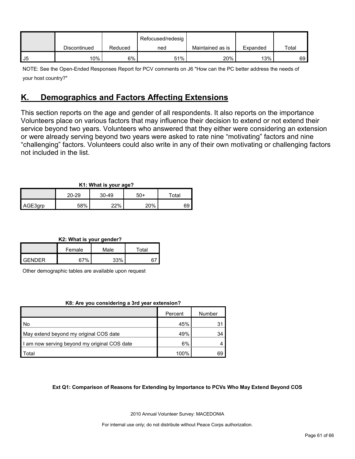|      |              |         | Refocused/redesig |                  |          |       |
|------|--------------|---------|-------------------|------------------|----------|-------|
|      | Discontinued | Reduced | ned               | Maintained as is | Expanded | Total |
| l J5 | 10%          | 6%      | 51%               | 20%              | 13%      | 69    |

NOTE: See the Open-Ended Responses Report for PCV comments on J6 "How can the PC better address the needs of your host country?"

### <span id="page-60-0"></span>**K. Demographics and Factors Affecting Extensions**

This section reports on the age and gender of all respondents. It also reports on the importance Volunteers place on various factors that may influence their decision to extend or not extend their service beyond two years. Volunteers who answered that they either were considering an extension or were already serving beyond two years were asked to rate nine "motivating" factors and nine "challenging" factors. Volunteers could also write in any of their own motivating or challenging factors not included in the list.

| K1: What is your age? |       |         |     |       |  |  |  |
|-----------------------|-------|---------|-----|-------|--|--|--|
|                       | 20-29 | $30-49$ | 50+ | Total |  |  |  |
| AGE3grp               | 58%   | 22%     | 20% | 69    |  |  |  |

**K2: What is your gender?**

|        | Female | Male | $\tau$ otal |  |
|--------|--------|------|-------------|--|
| CENDED | 67%    | 220/ |             |  |

Other demographic tables are available upon request

#### **K8: Are you considering a 3rd year extension?**

|                                              | Percent | Number |
|----------------------------------------------|---------|--------|
| I No                                         | 45%     | 31     |
| May extend beyond my original COS date       | 49%     | 34     |
| I am now serving beyond my original COS date | 6%      |        |
| Total                                        | 100%    | 69     |

#### **Ext Q1: Comparison of Reasons for Extending by Importance to PCVs Who May Extend Beyond COS**

2010 Annual Volunteer Survey: MACEDONIA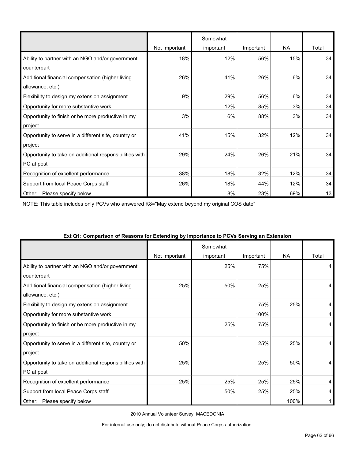|                                                         |               | Somewhat  |           |           |       |
|---------------------------------------------------------|---------------|-----------|-----------|-----------|-------|
|                                                         | Not Important | important | Important | <b>NA</b> | Total |
| Ability to partner with an NGO and/or government        | 18%           | 12%       | 56%       | 15%       | 34    |
| counterpart                                             |               |           |           |           |       |
| Additional financial compensation (higher living        | 26%           | 41%       | 26%       | 6%        | 34    |
| allowance, etc.)                                        |               |           |           |           |       |
| Flexibility to design my extension assignment           | 9%            | 29%       | 56%       | 6%        | 34    |
| Opportunity for more substantive work                   |               | 12%       | 85%       | 3%        | 34    |
| Opportunity to finish or be more productive in my       | 3%            | 6%        | 88%       | 3%        | 34    |
| project                                                 |               |           |           |           |       |
| Opportunity to serve in a different site, country or    | 41%           | 15%       | 32%       | 12%       | 34    |
| project                                                 |               |           |           |           |       |
| Opportunity to take on additional responsibilities with | 29%           | 24%       | 26%       | 21%       | 34    |
| PC at post                                              |               |           |           |           |       |
| Recognition of excellent performance                    | 38%           | 18%       | 32%       | 12%       | 34    |
| Support from local Peace Corps staff                    | 26%           | 18%       | 44%       | 12%       | 34    |
| Please specify below<br>Other:                          |               | 8%        | 23%       | 69%       | 13    |

NOTE: This table includes only PCVs who answered K8="May extend beyond my original COS date"

|                                                                       | Not Important | Somewhat<br>important | Important | <b>NA</b> | Total |
|-----------------------------------------------------------------------|---------------|-----------------------|-----------|-----------|-------|
| Ability to partner with an NGO and/or government<br>counterpart       |               | 25%                   | 75%       |           | 4     |
| Additional financial compensation (higher living<br>allowance, etc.)  | 25%           | 50%                   | 25%       |           | 4     |
| Flexibility to design my extension assignment                         |               |                       | 75%       | 25%       | 4     |
| Opportunity for more substantive work                                 |               |                       | 100%      |           | 4     |
| Opportunity to finish or be more productive in my<br>project          |               | 25%                   | 75%       |           | 4     |
| Opportunity to serve in a different site, country or<br>project       | 50%           |                       | 25%       | 25%       | 4     |
| Opportunity to take on additional responsibilities with<br>PC at post | 25%           |                       | 25%       | 50%       | 4     |
| Recognition of excellent performance                                  | 25%           | 25%                   | 25%       | 25%       | 4     |
| Support from local Peace Corps staff                                  |               | 50%                   | 25%       | 25%       | 4     |
| Please specify below<br>Other:                                        |               |                       |           | 100%      |       |

#### **Ext Q1: Comparison of Reasons for Extending by Importance to PCVs Serving an Extension**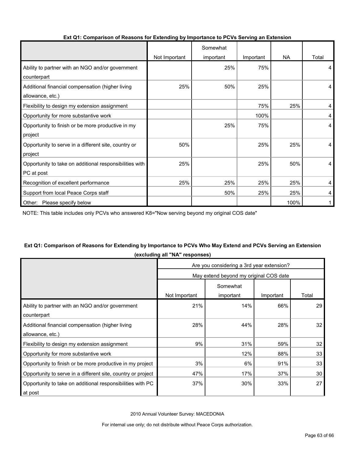|                                                         |               | Somewhat  |           |           |       |
|---------------------------------------------------------|---------------|-----------|-----------|-----------|-------|
|                                                         | Not Important | important | Important | <b>NA</b> | Total |
| Ability to partner with an NGO and/or government        |               | 25%       | 75%       |           | 4     |
| counterpart                                             |               |           |           |           |       |
| Additional financial compensation (higher living        | 25%           | 50%       | 25%       |           | 4     |
| allowance, etc.)                                        |               |           |           |           |       |
| Flexibility to design my extension assignment           |               |           | 75%       | 25%       | 4     |
| Opportunity for more substantive work                   |               |           | 100%      |           | 4     |
| Opportunity to finish or be more productive in my       |               | 25%       | 75%       |           | 4     |
| project                                                 |               |           |           |           |       |
| Opportunity to serve in a different site, country or    | 50%           |           | 25%       | 25%       | 4     |
| project                                                 |               |           |           |           |       |
| Opportunity to take on additional responsibilities with | 25%           |           | 25%       | 50%       | 4     |
| PC at post                                              |               |           |           |           |       |
| Recognition of excellent performance                    | 25%           | 25%       | 25%       | 25%       | 4     |
| Support from local Peace Corps staff                    |               | 50%       | 25%       | 25%       | 4     |
| Other: Please specify below                             |               |           |           | 100%      |       |

#### **Ext Q1: Comparison of Reasons for Extending by Importance to PCVs Serving an Extension**

NOTE: This table includes only PCVs who answered K8="Now serving beyond my original COS date"

#### **Ext Q1: Comparison of Reasons for Extending by Importance to PCVs Who May Extend and PCVs Serving an Extension (excluding all "NA" responses)**

|                                                              | Are you considering a 3rd year extension? |           |           |                 |  |  |
|--------------------------------------------------------------|-------------------------------------------|-----------|-----------|-----------------|--|--|
|                                                              | May extend beyond my original COS date    |           |           |                 |  |  |
|                                                              | Somewhat                                  |           |           |                 |  |  |
|                                                              | Not Important                             | important | Important | Total           |  |  |
| Ability to partner with an NGO and/or government             | 21%                                       | 14%       | 66%       | 29              |  |  |
| counterpart                                                  |                                           |           |           |                 |  |  |
| Additional financial compensation (higher living             | 28%                                       | 44%       | 28%       | 32 <sub>2</sub> |  |  |
| allowance, etc.)                                             |                                           |           |           |                 |  |  |
| Flexibility to design my extension assignment                | 9%                                        | 31%       | 59%       | 32              |  |  |
| Opportunity for more substantive work                        |                                           | 12%       | 88%       | 33              |  |  |
| Opportunity to finish or be more productive in my project    | 3%                                        | 6%        | 91%       | 33              |  |  |
| Opportunity to serve in a different site, country or project | 47%                                       | 17%       | 37%       | 30              |  |  |
| Opportunity to take on additional responsibilities with PC   | 37%                                       | 30%       | 33%       | 27              |  |  |
| at post                                                      |                                           |           |           |                 |  |  |

2010 Annual Volunteer Survey: MACEDONIA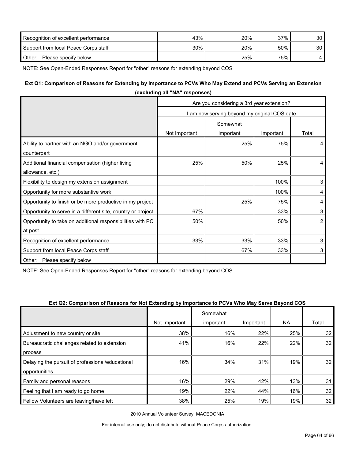| Recognition of excellent performance | 43% | 20% | 37% | 30 I |
|--------------------------------------|-----|-----|-----|------|
| Support from local Peace Corps staff | 30% | 20% | 50% | 30 I |
| Other: Please specify below          |     | 25% | 75% |      |

NOTE: See Open-Ended Responses Report for "other" reasons for extending beyond COS

#### **Ext Q1: Comparison of Reasons for Extending by Importance to PCVs Who May Extend and PCVs Serving an Extension**

| (excluding all "NA" responses)                               |                                              |           |           |                |  |  |
|--------------------------------------------------------------|----------------------------------------------|-----------|-----------|----------------|--|--|
|                                                              | Are you considering a 3rd year extension?    |           |           |                |  |  |
|                                                              | I am now serving beyond my original COS date |           |           |                |  |  |
|                                                              | Somewhat                                     |           |           |                |  |  |
|                                                              | Not Important                                | important | Important | Total          |  |  |
| Ability to partner with an NGO and/or government             |                                              | 25%       | 75%       | 4              |  |  |
| counterpart                                                  |                                              |           |           |                |  |  |
| Additional financial compensation (higher living             | 25%                                          | 50%       | 25%       | 4              |  |  |
| allowance, etc.)                                             |                                              |           |           |                |  |  |
| Flexibility to design my extension assignment                |                                              |           | 100%      | 3              |  |  |
| Opportunity for more substantive work                        |                                              |           | 100%      | 4              |  |  |
| Opportunity to finish or be more productive in my project    |                                              | 25%       | 75%       | 4              |  |  |
| Opportunity to serve in a different site, country or project | 67%                                          |           | 33%       | 3              |  |  |
| Opportunity to take on additional responsibilities with PC   | 50%                                          |           | 50%       | $\overline{2}$ |  |  |
| at post                                                      |                                              |           |           |                |  |  |
| Recognition of excellent performance                         | 33%                                          | 33%       | 33%       | 3              |  |  |
| Support from local Peace Corps staff                         |                                              | 67%       | 33%       | 3              |  |  |
| Other: Please specify below                                  |                                              |           |           |                |  |  |

NOTE: See Open-Ended Responses Report for "other" reasons for extending beyond COS

#### **Ext Q2: Comparison of Reasons for Not Extending by Importance to PCVs Who May Serve Beyond COS**

|                                                  |               | Somewhat  |           |           |       |
|--------------------------------------------------|---------------|-----------|-----------|-----------|-------|
|                                                  | Not Important | important | Important | <b>NA</b> | Total |
| Adjustment to new country or site                | 38%           | 16%       | 22%       | 25%       | 32    |
| Bureaucratic challenges related to extension     | 41%           | 16%       | 22%       | 22%       | 32    |
| process                                          |               |           |           |           |       |
| Delaying the pursuit of professional/educational | 16%           | 34%       | 31%       | 19%       | 32    |
| opportunities                                    |               |           |           |           |       |
| Family and personal reasons                      | 16%           | 29%       | 42%       | 13%       | 31    |
| Feeling that I am ready to go home               | 19%           | 22%       | 44%       | 16%       | 32    |
| Fellow Volunteers are leaving/have left          | 38%           | 25%       | 19%       | 19%       | 32    |

2010 Annual Volunteer Survey: MACEDONIA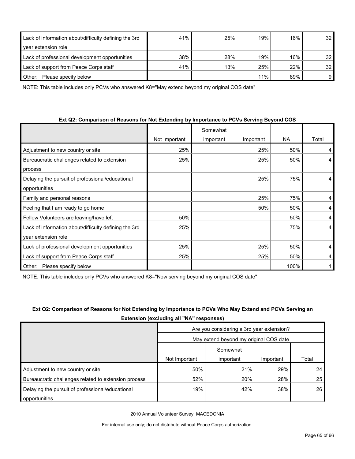| Lack of information about/difficulty defining the 3rd | 41% | 25% | 19% | 16% | 32 <sub>1</sub> |
|-------------------------------------------------------|-----|-----|-----|-----|-----------------|
| year extension role                                   |     |     |     |     |                 |
| Lack of professional development opportunities        | 38% | 28% | 19% | 16% | 32 <sub>1</sub> |
| Lack of support from Peace Corps staff                | 41% | 13% | 25% | 22% | 32 <sub>1</sub> |
| Please specify below<br>Other:                        |     |     | 11% | 89% | 9               |

NOTE: This table includes only PCVs who answered K8="May extend beyond my original COS date"

#### **Ext Q2: Comparison of Reasons for Not Extending by Importance to PCVs Serving Beyond COS**

|                                                       |               | Somewhat  |           |           |       |
|-------------------------------------------------------|---------------|-----------|-----------|-----------|-------|
|                                                       | Not Important | important | Important | <b>NA</b> | Total |
| Adjustment to new country or site                     | 25%           |           | 25%       | 50%       | 4     |
| Bureaucratic challenges related to extension          | 25%           |           | 25%       | 50%       | 4     |
| process                                               |               |           |           |           |       |
| Delaying the pursuit of professional/educational      |               |           | 25%       | 75%       | 4     |
| opportunities                                         |               |           |           |           |       |
| Family and personal reasons                           |               |           | 25%       | 75%       | 4     |
| Feeling that I am ready to go home                    |               |           | 50%       | 50%       | 4     |
| Fellow Volunteers are leaving/have left               | 50%           |           |           | 50%       | 4     |
| Lack of information about/difficulty defining the 3rd | 25%           |           |           | 75%       | 4     |
| year extension role                                   |               |           |           |           |       |
| Lack of professional development opportunities        | 25%           |           | 25%       | 50%       | 4     |
| Lack of support from Peace Corps staff                | 25%           |           | 25%       | 50%       | 4     |
| Please specify below<br>Other:                        |               |           |           | 100%      |       |

NOTE: This table includes only PCVs who answered K8="Now serving beyond my original COS date"

### **Ext Q2: Comparison of Reasons for Not Extending by Importance to PCVs Who May Extend and PCVs Serving an Extension (excluding all "NA" responses)**

|                                                      | Are you considering a 3rd year extension? |           |           |       |  |
|------------------------------------------------------|-------------------------------------------|-----------|-----------|-------|--|
|                                                      | May extend beyond my original COS date    |           |           |       |  |
|                                                      | Somewhat                                  |           |           |       |  |
|                                                      | Not Important                             | important | Important | Total |  |
| Adjustment to new country or site                    | 50%                                       | 21%       | 29%       | 24    |  |
| Bureaucratic challenges related to extension process | 52%                                       | 20%       | 28%       | 25    |  |
| Delaying the pursuit of professional/educational     | 19%                                       | 42%       | 38%       | 26    |  |
| opportunities                                        |                                           |           |           |       |  |

2010 Annual Volunteer Survey: MACEDONIA